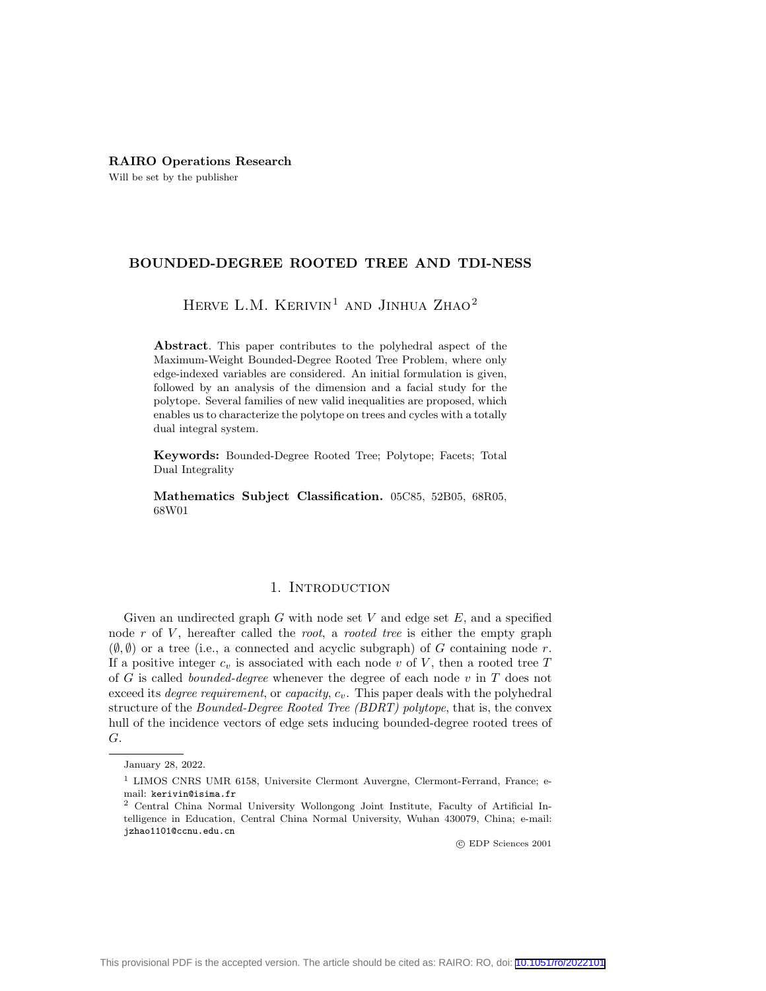# RAIRO Operations Research

Will be set by the publisher

## BOUNDED-DEGREE ROOTED TREE AND TDI-NESS

# HERVE L.M. KERIVIN<sup>1</sup> AND JINHUA ZHAO<sup>2</sup>

Abstract. This paper contributes to the polyhedral aspect of the Maximum-Weight Bounded-Degree Rooted Tree Problem, where only edge-indexed variables are considered. An initial formulation is given, followed by an analysis of the dimension and a facial study for the polytope. Several families of new valid inequalities are proposed, which enables us to characterize the polytope on trees and cycles with a totally dual integral system.

Keywords: Bounded-Degree Rooted Tree; Polytope; Facets; Total Dual Integrality

Mathematics Subject Classification. 05C85, 52B05, 68R05, 68W01

## 1. INTRODUCTION

Given an undirected graph  $G$  with node set  $V$  and edge set  $E$ , and a specified node  $r$  of  $V$ , hereafter called the root, a rooted tree is either the empty graph  $(\emptyset, \emptyset)$  or a tree (i.e., a connected and acyclic subgraph) of G containing node r. If a positive integer  $c_v$  is associated with each node v of V, then a rooted tree T of G is called *bounded-degree* whenever the degree of each node  $v$  in  $T$  does not exceed its *degree requirement*, or *capacity*,  $c_v$ . This paper deals with the polyhedral structure of the Bounded-Degree Rooted Tree (BDRT) polytope, that is, the convex hull of the incidence vectors of edge sets inducing bounded-degree rooted trees of G.

c EDP Sciences 2001

January 28, 2022.

<sup>1</sup> LIMOS CNRS UMR 6158, Universite Clermont Auvergne, Clermont-Ferrand, France; email: kerivin@isima.fr

<sup>2</sup> Central China Normal University Wollongong Joint Institute, Faculty of Artificial Intelligence in Education, Central China Normal University, Wuhan 430079, China; e-mail: jzhao1101@ccnu.edu.cn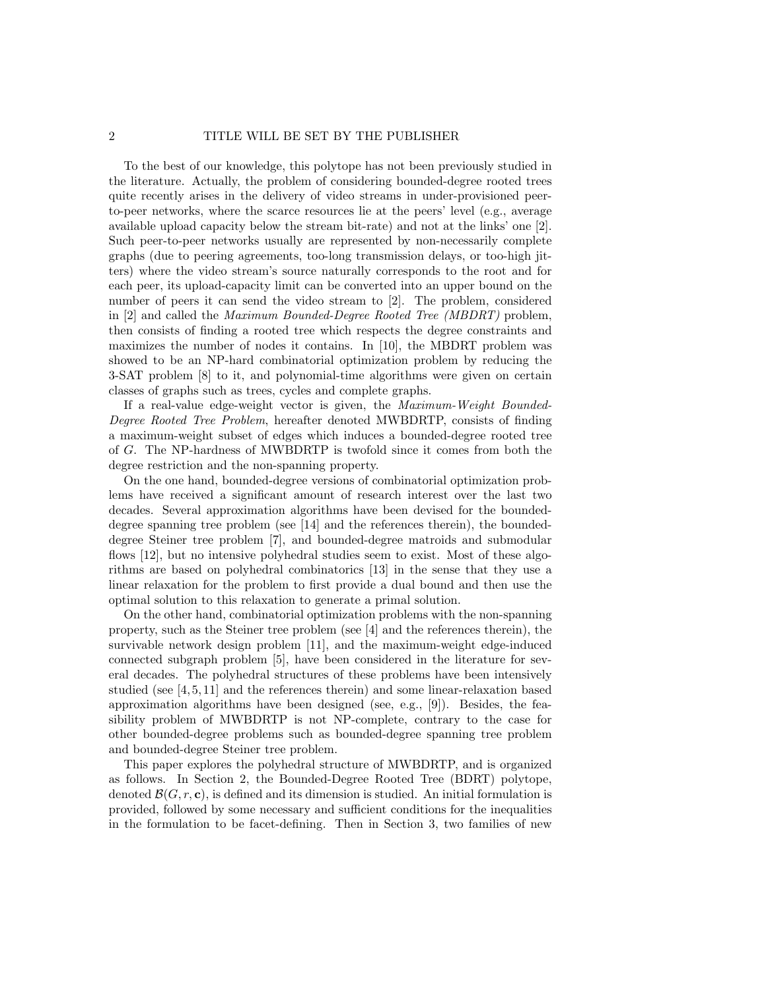To the best of our knowledge, this polytope has not been previously studied in the literature. Actually, the problem of considering bounded-degree rooted trees quite recently arises in the delivery of video streams in under-provisioned peerto-peer networks, where the scarce resources lie at the peers' level (e.g., average available upload capacity below the stream bit-rate) and not at the links' one [2]. Such peer-to-peer networks usually are represented by non-necessarily complete graphs (due to peering agreements, too-long transmission delays, or too-high jitters) where the video stream's source naturally corresponds to the root and for each peer, its upload-capacity limit can be converted into an upper bound on the number of peers it can send the video stream to [2]. The problem, considered in [2] and called the Maximum Bounded-Degree Rooted Tree (MBDRT) problem, then consists of finding a rooted tree which respects the degree constraints and maximizes the number of nodes it contains. In [10], the MBDRT problem was showed to be an NP-hard combinatorial optimization problem by reducing the 3-SAT problem [8] to it, and polynomial-time algorithms were given on certain classes of graphs such as trees, cycles and complete graphs.

If a real-value edge-weight vector is given, the Maximum-Weight Bounded-Degree Rooted Tree Problem, hereafter denoted MWBDRTP, consists of finding a maximum-weight subset of edges which induces a bounded-degree rooted tree of G. The NP-hardness of MWBDRTP is twofold since it comes from both the degree restriction and the non-spanning property.

On the one hand, bounded-degree versions of combinatorial optimization problems have received a significant amount of research interest over the last two decades. Several approximation algorithms have been devised for the boundeddegree spanning tree problem (see [14] and the references therein), the boundeddegree Steiner tree problem [7], and bounded-degree matroids and submodular flows [12], but no intensive polyhedral studies seem to exist. Most of these algorithms are based on polyhedral combinatorics [13] in the sense that they use a linear relaxation for the problem to first provide a dual bound and then use the optimal solution to this relaxation to generate a primal solution.

On the other hand, combinatorial optimization problems with the non-spanning property, such as the Steiner tree problem (see [4] and the references therein), the survivable network design problem [11], and the maximum-weight edge-induced connected subgraph problem [5], have been considered in the literature for several decades. The polyhedral structures of these problems have been intensively studied (see [4, 5, 11] and the references therein) and some linear-relaxation based approximation algorithms have been designed (see, e.g., [9]). Besides, the feasibility problem of MWBDRTP is not NP-complete, contrary to the case for other bounded-degree problems such as bounded-degree spanning tree problem and bounded-degree Steiner tree problem.

This paper explores the polyhedral structure of MWBDRTP, and is organized as follows. In Section 2, the Bounded-Degree Rooted Tree (BDRT) polytope, denoted  $\mathcal{B}(G, r, c)$ , is defined and its dimension is studied. An initial formulation is provided, followed by some necessary and sufficient conditions for the inequalities in the formulation to be facet-defining. Then in Section 3, two families of new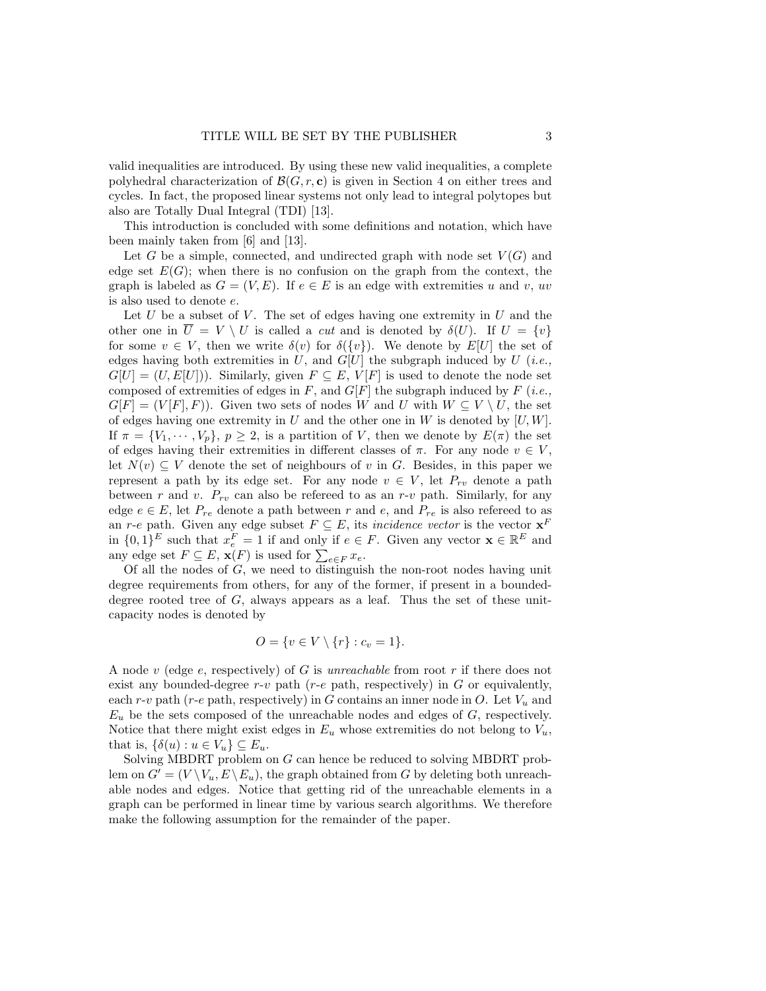valid inequalities are introduced. By using these new valid inequalities, a complete polyhedral characterization of  $\mathcal{B}(G, r, c)$  is given in Section 4 on either trees and cycles. In fact, the proposed linear systems not only lead to integral polytopes but also are Totally Dual Integral (TDI) [13].

This introduction is concluded with some definitions and notation, which have been mainly taken from [6] and [13].

Let G be a simple, connected, and undirected graph with node set  $V(G)$  and edge set  $E(G)$ ; when there is no confusion on the graph from the context, the graph is labeled as  $G = (V, E)$ . If  $e \in E$  is an edge with extremities u and v, uv is also used to denote e.

Let  $U$  be a subset of  $V$ . The set of edges having one extremity in  $U$  and the other one in  $\overline{U} = V \setminus U$  is called a *cut* and is denoted by  $\delta(U)$ . If  $U = \{v\}$ for some  $v \in V$ , then we write  $\delta(v)$  for  $\delta({v})$ . We denote by  $E[U]$  the set of edges having both extremities in  $U$ , and  $G[U]$  the subgraph induced by  $U$  (*i.e.*,  $G[U] = (U, E[U])$ ). Similarly, given  $F \subseteq E$ ,  $V[F]$  is used to denote the node set composed of extremities of edges in  $F$ , and  $G[F]$  the subgraph induced by  $F$  (*i.e.*,  $G[F] = (V[F], F)$ . Given two sets of nodes W and U with  $W \subseteq V \setminus U$ , the set of edges having one extremity in U and the other one in W is denoted by  $[U, W]$ . If  $\pi = \{V_1, \dots, V_p\}, p \geq 2$ , is a partition of V, then we denote by  $E(\pi)$  the set of edges having their extremities in different classes of  $\pi$ . For any node  $v \in V$ , let  $N(v) \subseteq V$  denote the set of neighbours of v in G. Besides, in this paper we represent a path by its edge set. For any node  $v \in V$ , let  $P_{rv}$  denote a path between r and v.  $P_{rv}$  can also be refereed to as an r-v path. Similarly, for any edge  $e \in E$ , let  $P_{re}$  denote a path between r and e, and  $P_{re}$  is also refereed to as an r-e path. Given any edge subset  $F \subseteq E$ , its *incidence vector* is the vector  $\mathbf{x}^F$ in  $\{0,1\}^E$  such that  $x_e^F = 1$  if and only if  $e \in F$ . Given any vector  $\mathbf{x} \in \mathbb{R}^E$  and any edge set  $F \subseteq E$ ,  $\mathbf{x}(F)$  is used for  $\sum_{e \in F} x_e$ .

Of all the nodes of G, we need to distinguish the non-root nodes having unit degree requirements from others, for any of the former, if present in a boundeddegree rooted tree of  $G$ , always appears as a leaf. Thus the set of these unitcapacity nodes is denoted by

$$
O = \{ v \in V \setminus \{r\} : c_v = 1 \}.
$$

A node v (edge e, respectively) of G is unreachable from root r if there does not exist any bounded-degree  $r-v$  path ( $r-e$  path, respectively) in G or equivalently, each r-v path (r-e path, respectively) in G contains an inner node in O. Let  $V_u$  and  $E_u$  be the sets composed of the unreachable nodes and edges of  $G$ , respectively. Notice that there might exist edges in  $E_u$  whose extremities do not belong to  $V_u$ , that is,  $\{\delta(u): u \in V_u\} \subseteq E_u$ .

Solving MBDRT problem on G can hence be reduced to solving MBDRT problem on  $G' = (V \setminus V_u, E \setminus E_u)$ , the graph obtained from G by deleting both unreachable nodes and edges. Notice that getting rid of the unreachable elements in a graph can be performed in linear time by various search algorithms. We therefore make the following assumption for the remainder of the paper.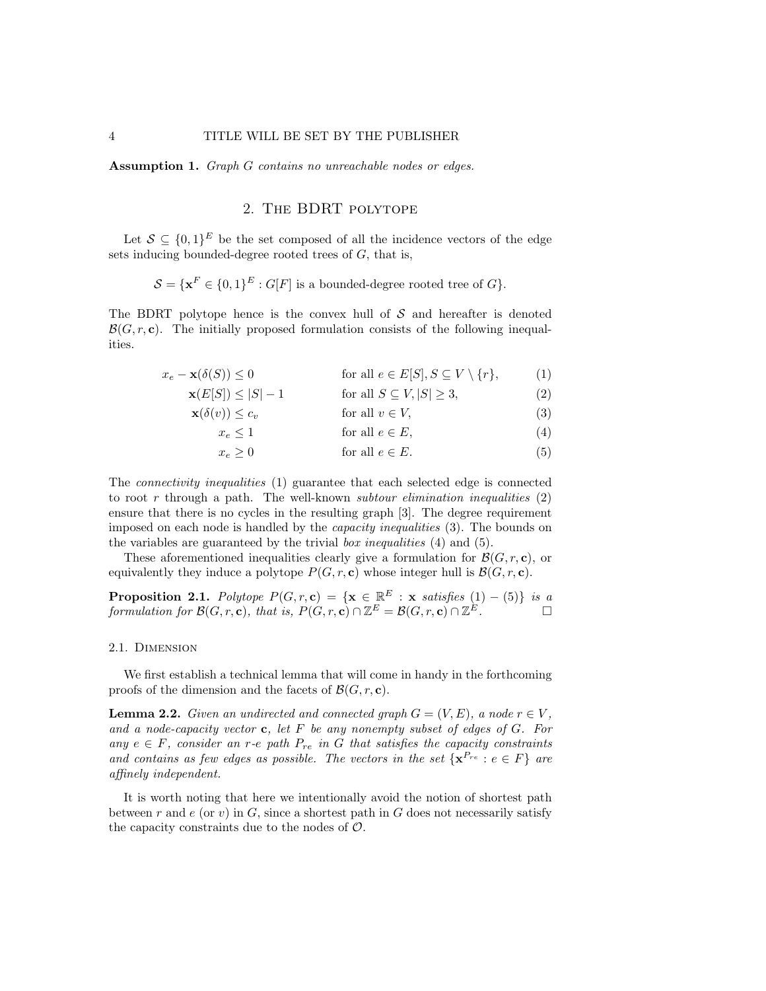Assumption 1. Graph G contains no unreachable nodes or edges.

# 2. The BDRT polytope

Let  $\mathcal{S} \subseteq \{0,1\}^E$  be the set composed of all the incidence vectors of the edge sets inducing bounded-degree rooted trees of  $G$ , that is,

$$
\mathcal{S} = \{ \mathbf{x}^F \in \{0,1\}^E : G[F] \text{ is a bounded-degree rooted tree of } G \}.
$$

The BDRT polytope hence is the convex hull of  $S$  and hereafter is denoted  $\mathcal{B}(G, r, c)$ . The initially proposed formulation consists of the following inequalities.

$$
x_e - \mathbf{x}(\delta(S)) \le 0 \qquad \text{for all } e \in E[S], S \subseteq V \setminus \{r\}, \tag{1}
$$

$$
\mathbf{x}(E[S]) \le |S| - 1 \qquad \text{for all } S \subseteq V, |S| \ge 3,\tag{2}
$$

$$
\mathbf{x}(\delta(v)) \le c_v \qquad \text{for all } v \in V,\tag{3}
$$

$$
x_e \le 1 \qquad \text{for all } e \in E,\tag{4}
$$

$$
x_e \ge 0 \t\t \text{for all } e \in E. \t\t (5)
$$

The connectivity inequalities (1) guarantee that each selected edge is connected to root r through a path. The well-known *subtour elimination inequalities*  $(2)$ ensure that there is no cycles in the resulting graph [3]. The degree requirement imposed on each node is handled by the capacity inequalities (3). The bounds on the variables are guaranteed by the trivial box inequalities (4) and (5).

These aforementioned inequalities clearly give a formulation for  $\mathcal{B}(G, r, c)$ , or equivalently they induce a polytope  $P(G, r, c)$  whose integer hull is  $\mathcal{B}(G, r, c)$ .

**Proposition 2.1.** Polytope  $P(G, r, c) = \{x \in \mathbb{R}^E : x \text{ satisfies } (1) - (5)\}$  is a formulation for  $\mathcal{B}(G,r,\mathbf{c})$ , that is,  $P(G,r,\mathbf{c}) \cap \mathbb{Z}^E = \mathcal{B}(G,r,\mathbf{c}) \cap \mathbb{Z}^E$ .

#### 2.1. Dimension

We first establish a technical lemma that will come in handy in the forthcoming proofs of the dimension and the facets of  $\mathcal{B}(G, r, c)$ .

**Lemma 2.2.** Given an undirected and connected graph  $G = (V, E)$ , a node  $r \in V$ , and a node-capacity vector  $\mathbf c$ , let  $F$  be any nonempty subset of edges of  $G$ . For any  $e \in F$ , consider an r-e path  $P_{re}$  in G that satisfies the capacity constraints and contains as few edges as possible. The vectors in the set  $\{x^{P_{re}} : e \in F\}$  are affinely independent.

It is worth noting that here we intentionally avoid the notion of shortest path between r and  $e$  (or v) in  $G$ , since a shortest path in  $G$  does not necessarily satisfy the capacity constraints due to the nodes of  $\mathcal{O}$ .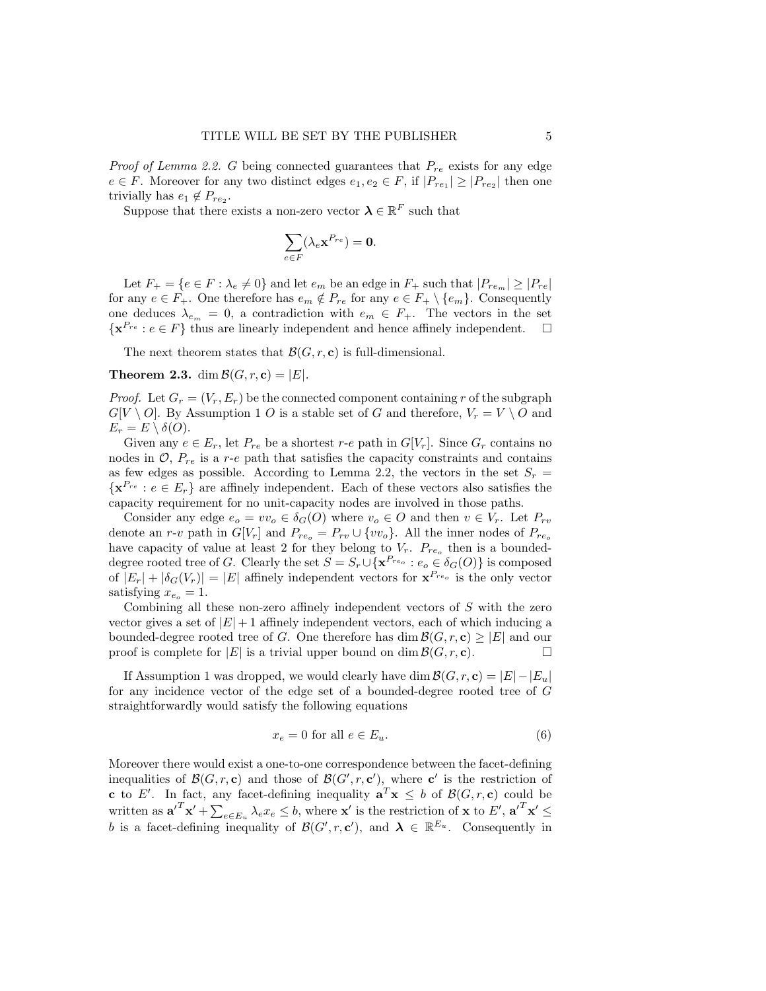*Proof of Lemma 2.2.* G being connected guarantees that  $P_{re}$  exists for any edge  $e \in F$ . Moreover for any two distinct edges  $e_1, e_2 \in F$ , if  $|P_{re_1}| \geq |P_{re_2}|$  then one trivially has  $e_1 \notin P_{re_2}$ .

Suppose that there exists a non-zero vector  $\lambda \in \mathbb{R}^F$  such that

$$
\sum_{e\in F}(\lambda_e {\bf x}^{P_{re}})={\bf 0}.
$$

Let  $F_+ = \{e \in F : \lambda_e \neq 0\}$  and let  $e_m$  be an edge in  $F_+$  such that  $|P_{re_m}| \geq |P_{re}|$ for any  $e \in F_+$ . One therefore has  $e_m \notin P_{re}$  for any  $e \in F_+ \setminus \{e_m\}$ . Consequently one deduces  $\lambda_{e_m} = 0$ , a contradiction with  $e_m \in F_+$ . The vectors in the set  $\{ {\bf x}^{P_{re}} : e \in F \}$  thus are linearly independent and hence affinely independent.  $\Box$ 

The next theorem states that  $\mathcal{B}(G, r, c)$  is full-dimensional.

**Theorem 2.3.** dim  $\mathcal{B}(G, r, \mathbf{c}) = |E|$ .

*Proof.* Let  $G_r = (V_r, E_r)$  be the connected component containing r of the subgraph  $G[V \setminus O]$ . By Assumption 1 O is a stable set of G and therefore,  $V_r = V \setminus O$  and  $E_r = E \setminus \delta(O).$ 

Given any  $e \in E_r$ , let  $P_{re}$  be a shortest r-e path in  $G[V_r]$ . Since  $G_r$  contains no nodes in  $\mathcal{O}, P_{re}$  is a r-e path that satisfies the capacity constraints and contains as few edges as possible. According to Lemma 2.2, the vectors in the set  $S_r =$  $\{ {\bf x}^{P_{re}} : e \in E_r \}$  are affinely independent. Each of these vectors also satisfies the capacity requirement for no unit-capacity nodes are involved in those paths.

Consider any edge  $e_o = v v_o \in \delta_G(O)$  where  $v_o \in O$  and then  $v \in V_r$ . Let  $P_{rv}$ denote an r-v path in  $G[V_r]$  and  $P_{re_o} = P_{rv} \cup \{vv_o\}$ . All the inner nodes of  $P_{re_o}$ have capacity of value at least 2 for they belong to  $V_r$ .  $P_{re_o}$  then is a boundeddegree rooted tree of G. Clearly the set  $S = S_r \cup {\mathbf{x}^{P_{reo}} : e_o \in \delta_G(O)}$  is composed of  $|E_r| + |\delta_G(V_r)| = |E|$  affinely independent vectors for  $\mathbf{x}^{P_{re_o}}$  is the only vector satisfying  $x_{e_0} = 1$ .

Combining all these non-zero affinely independent vectors of S with the zero vector gives a set of  $|E|+1$  affinely independent vectors, each of which inducing a bounded-degree rooted tree of G. One therefore has dim  $\mathcal{B}(G, r, c) \geq |E|$  and our proof is complete for  $|E|$  is a trivial upper bound on dim  $\mathcal{B}(G, r, c)$ .

If Assumption 1 was dropped, we would clearly have dim  $\mathcal{B}(G, r, c) = |E| - |E_u|$ for any incidence vector of the edge set of a bounded-degree rooted tree of G straightforwardly would satisfy the following equations

$$
x_e = 0 \text{ for all } e \in E_u. \tag{6}
$$

Moreover there would exist a one-to-one correspondence between the facet-defining inequalities of  $\mathcal{B}(G,r,\mathbf{c})$  and those of  $\mathcal{B}(G',r,\mathbf{c}')$ , where  $\mathbf{c}'$  is the restriction of c to E'. In fact, any facet-defining inequality  $\mathbf{a}^T \mathbf{x} \leq b$  of  $\mathcal{B}(G, r, c)$  could be written as  $\mathbf{a'}^T \mathbf{x'} + \sum_{e \in E_u} \lambda_e x_e \leq b$ , where  $\mathbf{x'}$  is the restriction of  $\mathbf{x}$  to  $E'$ ,  $\mathbf{a'}^T \mathbf{x'} \leq$ b is a facet-defining inequality of  $\mathcal{B}(G', r, c')$ , and  $\lambda \in \mathbb{R}^{E_u}$ . Consequently in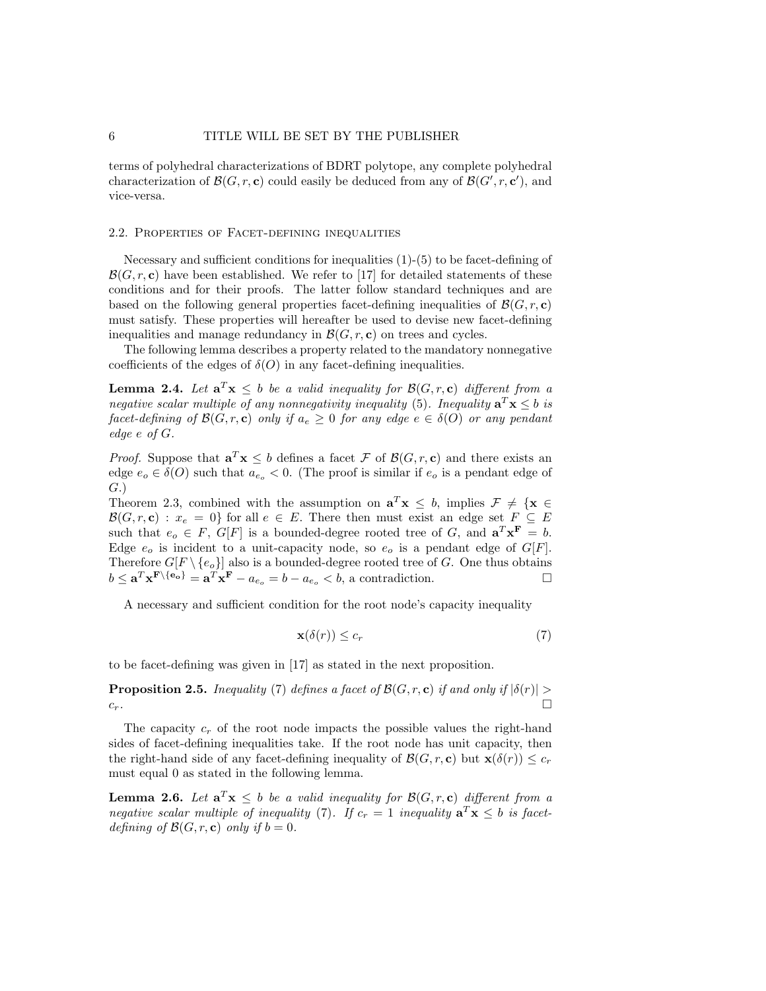terms of polyhedral characterizations of BDRT polytope, any complete polyhedral characterization of  $\mathcal{B}(G,r,\mathbf{c})$  could easily be deduced from any of  $\mathcal{B}(G',r,\mathbf{c}')$ , and vice-versa.

#### 2.2. Properties of Facet-defining inequalities

Necessary and sufficient conditions for inequalities (1)-(5) to be facet-defining of  $\mathcal{B}(G, r, c)$  have been established. We refer to [17] for detailed statements of these conditions and for their proofs. The latter follow standard techniques and are based on the following general properties facet-defining inequalities of  $\mathcal{B}(G, r, c)$ must satisfy. These properties will hereafter be used to devise new facet-defining inequalities and manage redundancy in  $\mathcal{B}(G, r, c)$  on trees and cycles.

The following lemma describes a property related to the mandatory nonnegative coefficients of the edges of  $\delta(O)$  in any facet-defining inequalities.

**Lemma 2.4.** Let  $\mathbf{a}^T \mathbf{x} \leq b$  be a valid inequality for  $\mathcal{B}(G,r,\mathbf{c})$  different from a negative scalar multiple of any nonnegativity inequality (5). Inequality  $a^T x \leq b$  is facet-defining of  $\mathcal{B}(G, r, \mathbf{c})$  only if  $a_e \geq 0$  for any edge  $e \in \delta(O)$  or any pendant edge e of G.

*Proof.* Suppose that  $\mathbf{a}^T \mathbf{x} \leq b$  defines a facet F of  $\mathcal{B}(G,r,\mathbf{c})$  and there exists an edge  $e_o \in \delta(O)$  such that  $a_{e_o} < 0$ . (The proof is similar if  $e_o$  is a pendant edge of G.)

Theorem 2.3, combined with the assumption on  $\mathbf{a}^T \mathbf{x} \leq b$ , implies  $\mathcal{F} \neq {\mathbf{x} \in \mathbb{R}^d}$  $\mathcal{B}(G, r, \mathbf{c}) : x_e = 0$  for all  $e \in E$ . There then must exist an edge set  $F \subseteq E$ such that  $e_o \in F$ ,  $G[F]$  is a bounded-degree rooted tree of G, and  $\mathbf{a}^T \mathbf{x}^F = b$ . Edge  $e_o$  is incident to a unit-capacity node, so  $e_o$  is a pendant edge of  $G[F]$ . Therefore  $G[F \setminus \{e_0\}]$  also is a bounded-degree rooted tree of G. One thus obtains  $b \leq \mathbf{a}^T \mathbf{x}^{\mathbf{F} \setminus \{\mathbf{e}_o\}} = \mathbf{a}^T \mathbf{x}^{\mathbf{F}} - a_{e_o} = b - a_{e_o} < b$ , a contradiction.

A necessary and sufficient condition for the root node's capacity inequality

$$
\mathbf{x}(\delta(r)) \le c_r \tag{7}
$$

to be facet-defining was given in [17] as stated in the next proposition.

**Proposition 2.5.** Inequality (7) defines a facet of  $\mathcal{B}(G,r,\mathbf{c})$  if and only if  $|\delta(r)| >$  $c_r$ .

The capacity  $c_r$  of the root node impacts the possible values the right-hand sides of facet-defining inequalities take. If the root node has unit capacity, then the right-hand side of any facet-defining inequality of  $\mathcal{B}(G, r, c)$  but  $\mathbf{x}(\delta(r)) \leq c_r$ must equal 0 as stated in the following lemma.

**Lemma 2.6.** Let  $\mathbf{a}^T \mathbf{x} \leq b$  be a valid inequality for  $\mathcal{B}(G,r,\mathbf{c})$  different from a negative scalar multiple of inequality (7). If  $c_r = 1$  inequality  $\mathbf{a}^T \mathbf{x} \leq b$  is facetdefining of  $\mathcal{B}(G, r, c)$  only if  $b = 0$ .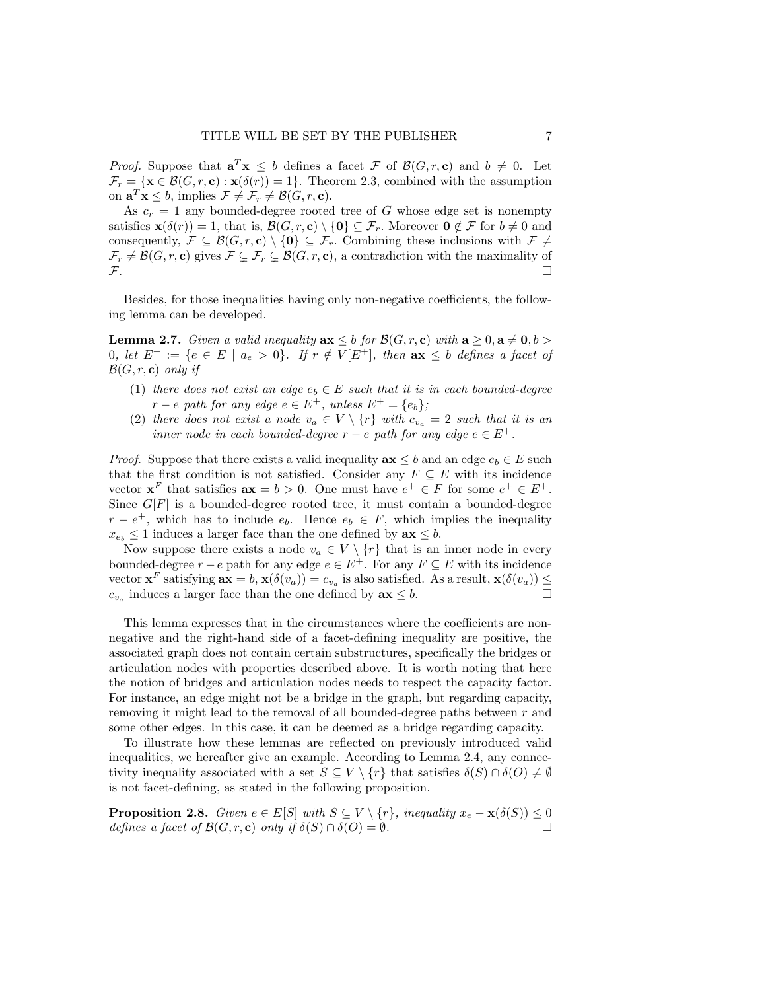*Proof.* Suppose that  $\mathbf{a}^T \mathbf{x} \leq b$  defines a facet F of  $\mathcal{B}(G,r,\mathbf{c})$  and  $b \neq 0$ . Let  $\mathcal{F}_r = {\mathbf{x} \in \mathcal{B}(G,r,\mathbf{c}) : \mathbf{x}(\delta(r)) = 1}.$  Theorem 2.3, combined with the assumption on  $\mathbf{a}^T \mathbf{x} \leq b$ , implies  $\mathcal{F} \neq \mathcal{F}_r \neq \mathcal{B}(G, r, \mathbf{c})$ .

As  $c_r = 1$  any bounded-degree rooted tree of G whose edge set is nonempty satisfies  $\mathbf{x}(\delta(r)) = 1$ , that is,  $\mathcal{B}(G, r, \mathbf{c}) \setminus \{0\} \subseteq \mathcal{F}_r$ . Moreover  $\mathbf{0} \notin \mathcal{F}$  for  $b \neq 0$  and consequently,  $\mathcal{F} \subseteq \mathcal{B}(G,r,\mathbf{c}) \setminus \{\mathbf{0}\} \subseteq \mathcal{F}_r$ . Combining these inclusions with  $\mathcal{F} \neq$  $\mathcal{F}_r \neq \mathcal{B}(G, r, \mathbf{c})$  gives  $\mathcal{F} \subsetneq \mathcal{F}_r \subsetneq \mathcal{B}(G, r, \mathbf{c})$ , a contradiction with the maximality of  $\mathcal{F}$ .

Besides, for those inequalities having only non-negative coefficients, the following lemma can be developed.

**Lemma 2.7.** Given a valid inequality  $ax \leq b$  for  $\mathcal{B}(G, r, c)$  with  $a \geq 0, a \neq 0, b > 0$ 0, let  $E^+ := \{e \in E \mid a_e > 0\}$ . If  $r \notin V[E^+]$ , then  $ax \leq b$  defines a facet of  $\mathcal{B}(G, r, c)$  only if

- (1) there does not exist an edge  $e_b \in E$  such that it is in each bounded-degree  $r - e$  path for any edge  $e \in E^+$ , unless  $E^+ = \{e_b\}$ ;
- (2) there does not exist a node  $v_a \in V \setminus \{r\}$  with  $c_{v_a} = 2$  such that it is an inner node in each bounded-degree  $r - e$  path for any edge  $e \in E^+$ .

*Proof.* Suppose that there exists a valid inequality  $ax \leq b$  and an edge  $e_b \in E$  such that the first condition is not satisfied. Consider any  $F \subseteq E$  with its incidence vector  $\mathbf{x}^F$  that satisfies  $\mathbf{a}\mathbf{x} = b > 0$ . One must have  $e^+ \in F$  for some  $e^+ \in E^+$ . Since  $G[F]$  is a bounded-degree rooted tree, it must contain a bounded-degree  $r - e^+$ , which has to include  $e_b$ . Hence  $e_b \in F$ , which implies the inequality  $x_{e_b} \leq 1$  induces a larger face than the one defined by  $ax \leq b$ .

Now suppose there exists a node  $v_a \in V \setminus \{r\}$  that is an inner node in every bounded-degree  $r - e$  path for any edge  $e \in E^+$ . For any  $F \subseteq E$  with its incidence vector  $\mathbf{x}^F$  satisfying  $\mathbf{ax} = b$ ,  $\mathbf{x}(\delta(v_a)) = c_{v_a}$  is also satisfied. As a result,  $\mathbf{x}(\delta(v_a)) \leq$  $c_{v_a}$  induces a larger face than the one defined by  $ax \leq b$ .

This lemma expresses that in the circumstances where the coefficients are nonnegative and the right-hand side of a facet-defining inequality are positive, the associated graph does not contain certain substructures, specifically the bridges or articulation nodes with properties described above. It is worth noting that here the notion of bridges and articulation nodes needs to respect the capacity factor. For instance, an edge might not be a bridge in the graph, but regarding capacity, removing it might lead to the removal of all bounded-degree paths between r and some other edges. In this case, it can be deemed as a bridge regarding capacity.

To illustrate how these lemmas are reflected on previously introduced valid inequalities, we hereafter give an example. According to Lemma 2.4, any connectivity inequality associated with a set  $S \subseteq V \setminus \{r\}$  that satisfies  $\delta(S) \cap \delta(O) \neq \emptyset$ is not facet-defining, as stated in the following proposition.

**Proposition 2.8.** Given  $e \in E[S]$  with  $S \subseteq V \setminus \{r\}$ , inequality  $x_e - \mathbf{x}(\delta(S)) \leq 0$ defines a facet of  $\mathcal{B}(G, r, c)$  only if  $\delta(S) \cap \delta(O) = \emptyset$ .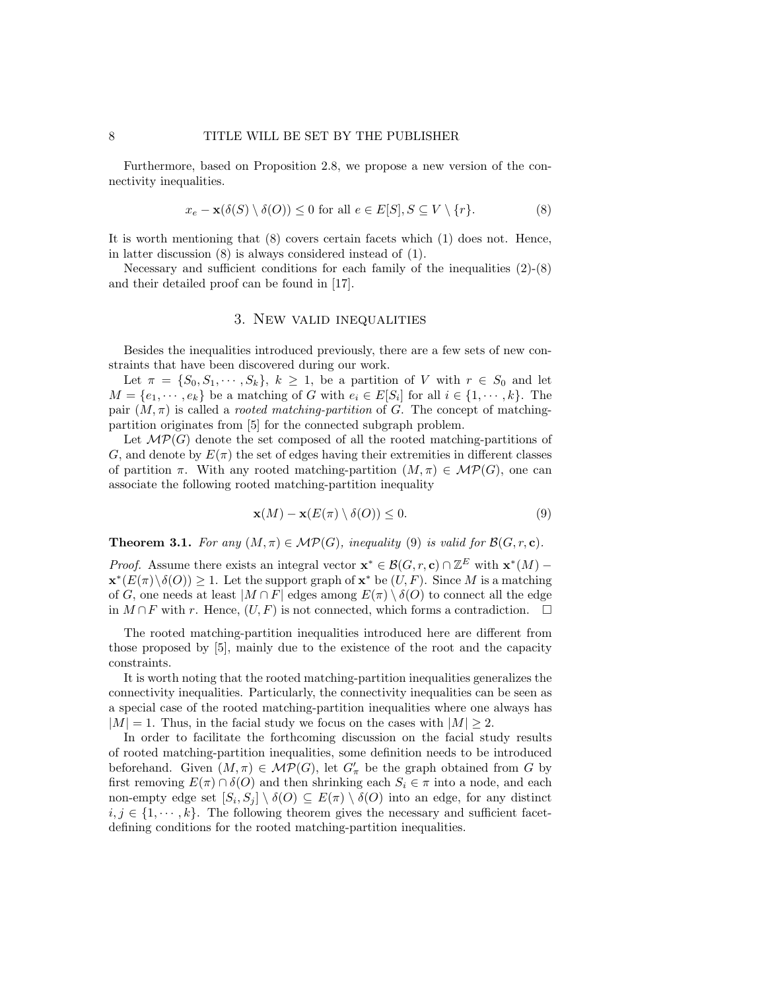Furthermore, based on Proposition 2.8, we propose a new version of the connectivity inequalities.

$$
x_e - \mathbf{x}(\delta(S) \setminus \delta(O)) \le 0 \text{ for all } e \in E[S], S \subseteq V \setminus \{r\}. \tag{8}
$$

It is worth mentioning that (8) covers certain facets which (1) does not. Hence, in latter discussion (8) is always considered instead of (1).

Necessary and sufficient conditions for each family of the inequalities  $(2)-(8)$ and their detailed proof can be found in [17].

#### 3. New valid inequalities

Besides the inequalities introduced previously, there are a few sets of new constraints that have been discovered during our work.

Let  $\pi = \{S_0, S_1, \dots, S_k\}, k \ge 1$ , be a partition of V with  $r \in S_0$  and let  $M = \{e_1, \dots, e_k\}$  be a matching of G with  $e_i \in E[S_i]$  for all  $i \in \{1, \dots, k\}$ . The pair  $(M, \pi)$  is called a *rooted matching-partition* of G. The concept of matchingpartition originates from [5] for the connected subgraph problem.

Let  $\mathcal{MP}(G)$  denote the set composed of all the rooted matching-partitions of G, and denote by  $E(\pi)$  the set of edges having their extremities in different classes of partition  $\pi$ . With any rooted matching-partition  $(M, \pi) \in \mathcal{MP}(G)$ , one can associate the following rooted matching-partition inequality

$$
\mathbf{x}(M) - \mathbf{x}(E(\pi) \setminus \delta(O)) \le 0. \tag{9}
$$

**Theorem 3.1.** For any  $(M, \pi) \in \mathcal{MP}(G)$ , inequality (9) is valid for  $\mathcal{B}(G, r, c)$ .

*Proof.* Assume there exists an integral vector  $\mathbf{x}^* \in \mathcal{B}(G, r, \mathbf{c}) \cap \mathbb{Z}^E$  with  $\mathbf{x}^*(M)$  –  $\mathbf{x}^*(E(\pi)\setminus\delta(O))\geq 1$ . Let the support graph of  $\mathbf{x}^*$  be  $(U, F)$ . Since M is a matching of G, one needs at least  $|M \cap F|$  edges among  $E(\pi) \setminus \delta(O)$  to connect all the edge in  $M \cap F$  with r. Hence,  $(U, F)$  is not connected, which forms a contradiction. □

The rooted matching-partition inequalities introduced here are different from those proposed by [5], mainly due to the existence of the root and the capacity constraints.

It is worth noting that the rooted matching-partition inequalities generalizes the connectivity inequalities. Particularly, the connectivity inequalities can be seen as a special case of the rooted matching-partition inequalities where one always has  $|M| = 1$ . Thus, in the facial study we focus on the cases with  $|M| \geq 2$ .

In order to facilitate the forthcoming discussion on the facial study results of rooted matching-partition inequalities, some definition needs to be introduced beforehand. Given  $(M, \pi) \in \mathcal{MP}(G)$ , let  $G'_{\pi}$  be the graph obtained from G by first removing  $E(\pi) \cap \delta(O)$  and then shrinking each  $S_i \in \pi$  into a node, and each non-empty edge set  $[S_i, S_j] \setminus \delta(O) \subseteq E(\pi) \setminus \delta(O)$  into an edge, for any distinct  $i, j \in \{1, \dots, k\}$ . The following theorem gives the necessary and sufficient facetdefining conditions for the rooted matching-partition inequalities.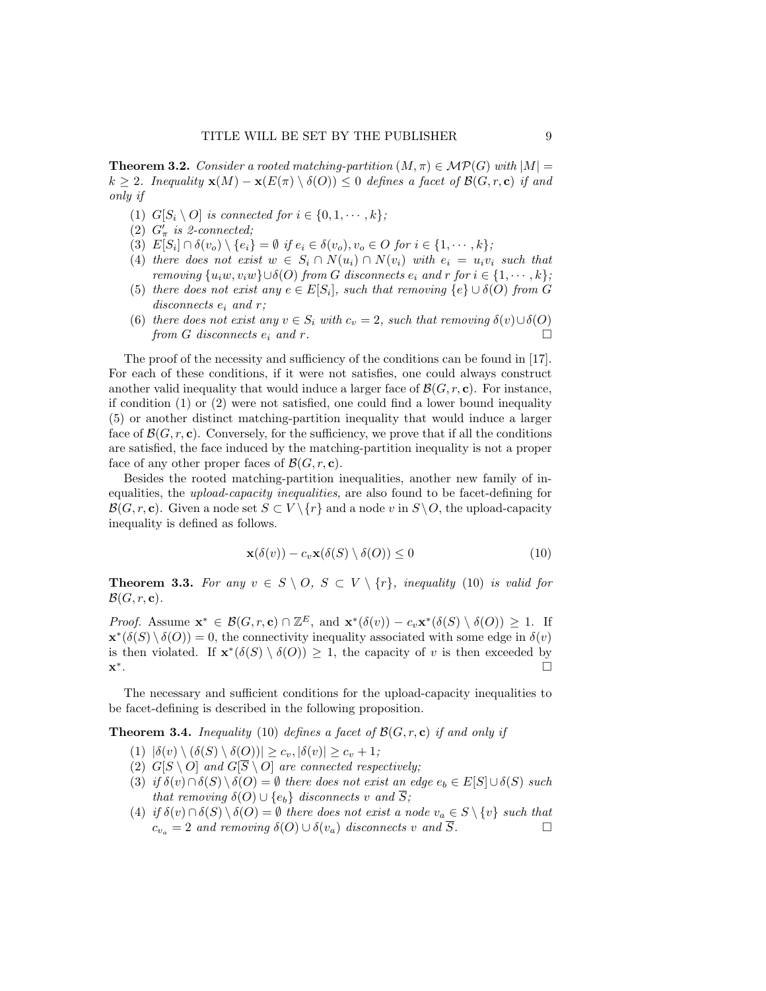**Theorem 3.2.** Consider a rooted matching-partition  $(M, \pi) \in \mathcal{MP}(G)$  with  $|M|$  = k > 2. Inequality  $\mathbf{x}(M) - \mathbf{x}(E(\pi) \setminus \delta(O)) \leq 0$  defines a facet of  $\mathcal{B}(G, r, c)$  if and only if

- (1)  $G[S_i \setminus O]$  is connected for  $i \in \{0, 1, \dots, k\}$ ;
- (2)  $G'_{\pi}$  is 2-connected;
- (3)  $E[S_i] \cap \delta(v_o) \setminus \{e_i\} = \emptyset$  if  $e_i \in \delta(v_o), v_o \in O$  for  $i \in \{1, \cdots, k\}$ ;
- (4) there does not exist  $w \in S_i \cap N(u_i) \cap N(v_i)$  with  $e_i = u_i v_i$  such that removing  $\{u_iw, v_iw\} \cup \delta(O)$  from G disconnects  $e_i$  and  $r$  for  $i \in \{1, \dots, k\}$ ;
- (5) there does not exist any  $e \in E[S_i]$ , such that removing  $\{e\} \cup \delta(O)$  from G disconnects  $e_i$  and  $r$ ;
- (6) there does not exist any  $v \in S_i$  with  $c_v = 2$ , such that removing  $\delta(v) \cup \delta(O)$ from G disconnects  $e_i$  and r.

The proof of the necessity and sufficiency of the conditions can be found in [17]. For each of these conditions, if it were not satisfies, one could always construct another valid inequality that would induce a larger face of  $\mathcal{B}(G, r, c)$ . For instance, if condition  $(1)$  or  $(2)$  were not satisfied, one could find a lower bound inequality (5) or another distinct matching-partition inequality that would induce a larger face of  $\mathcal{B}(G, r, c)$ . Conversely, for the sufficiency, we prove that if all the conditions are satisfied, the face induced by the matching-partition inequality is not a proper face of any other proper faces of  $\mathcal{B}(G, r, c)$ .

Besides the rooted matching-partition inequalities, another new family of inequalities, the upload-capacity inequalities, are also found to be facet-defining for  $\mathcal{B}(G, r, \mathbf{c})$ . Given a node set  $S \subset V \setminus \{r\}$  and a node v in  $S \setminus O$ , the upload-capacity inequality is defined as follows.

$$
\mathbf{x}(\delta(v)) - c_v \mathbf{x}(\delta(S) \setminus \delta(O)) \le 0 \tag{10}
$$

**Theorem 3.3.** For any  $v \in S \setminus O$ ,  $S \subset V \setminus \{r\}$ , inequality (10) is valid for  $\mathcal{B}(G, r, c)$ .

*Proof.* Assume  $\mathbf{x}^* \in \mathcal{B}(G,r,\mathbf{c}) \cap \mathbb{Z}^E$ , and  $\mathbf{x}^*(\delta(v)) - c_v \mathbf{x}^*(\delta(S) \setminus \delta(O)) \geq 1$ . If  $\mathbf{x}^*(\delta(S) \setminus \delta(O)) = 0$ , the connectivity inequality associated with some edge in  $\delta(v)$ is then violated. If  $\mathbf{x}^*(\delta(S) \setminus \delta(O)) \geq 1$ , the capacity of v is then exceeded by x ∗ .

The necessary and sufficient conditions for the upload-capacity inequalities to be facet-defining is described in the following proposition.

**Theorem 3.4.** Inequality (10) defines a facet of  $\mathcal{B}(G, r, c)$  if and only if

- (1)  $|\delta(v) \setminus (\delta(S) \setminus \delta(O))| \geq c_v, |\delta(v)| \geq c_v + 1;$
- (2)  $G[S \setminus O]$  and  $G[\overline{S} \setminus O]$  are connected respectively;
- (3) if  $\delta(v) \cap \delta(S) \setminus \delta(O) = \emptyset$  there does not exist an edge  $e_b \in E[S] \cup \delta(S)$  such that removing  $\delta(O) \cup \{e_b\}$  disconnects v and  $\overline{S}$ ;
- (4) if  $\delta(v) \cap \delta(S) \setminus \delta(O) = \emptyset$  there does not exist a node  $v_a \in S \setminus \{v\}$  such that  $c_{v_a} = 2$  and removing  $\delta(O) \cup \delta(v_a)$  disconnects v and  $\overline{S}$ .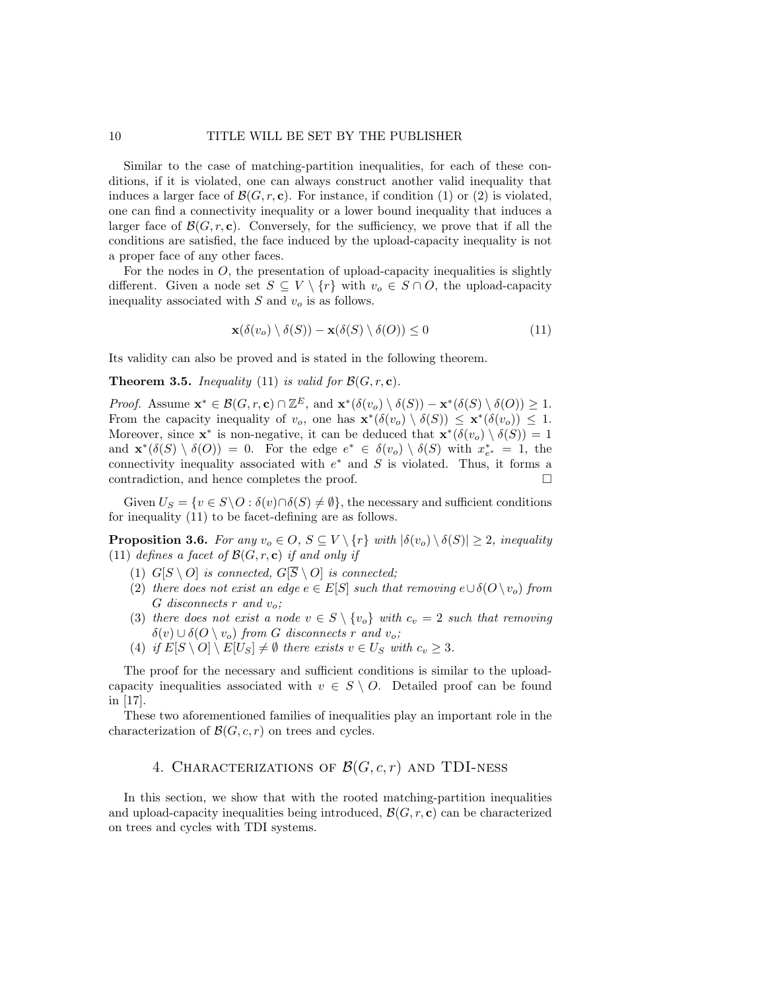Similar to the case of matching-partition inequalities, for each of these conditions, if it is violated, one can always construct another valid inequality that induces a larger face of  $\mathcal{B}(G, r, c)$ . For instance, if condition (1) or (2) is violated, one can find a connectivity inequality or a lower bound inequality that induces a larger face of  $\mathcal{B}(G, r, c)$ . Conversely, for the sufficiency, we prove that if all the conditions are satisfied, the face induced by the upload-capacity inequality is not a proper face of any other faces.

For the nodes in  $\ddot{o}$ , the presentation of upload-capacity inequalities is slightly different. Given a node set  $S \subseteq V \setminus \{r\}$  with  $v_o \in S \cap O$ , the upload-capacity inequality associated with  $S$  and  $v<sub>o</sub>$  is as follows.

$$
\mathbf{x}(\delta(v_o) \setminus \delta(S)) - \mathbf{x}(\delta(S) \setminus \delta(O)) \le 0 \tag{11}
$$

Its validity can also be proved and is stated in the following theorem.

**Theorem 3.5.** Inequality (11) is valid for  $\mathcal{B}(G, r, c)$ .

*Proof.* Assume  $\mathbf{x}^* \in \mathcal{B}(G, r, \mathbf{c}) \cap \mathbb{Z}^E$ , and  $\mathbf{x}^*(\delta(v_o) \setminus \delta(S)) - \mathbf{x}^*(\delta(S) \setminus \delta(O)) \geq 1$ . From the capacity inequality of  $v_o$ , one has  $\mathbf{x}^*(\delta(v_o) \setminus \delta(S)) \leq \mathbf{x}^*(\delta(v_o)) \leq 1$ . Moreover, since  $\mathbf{x}^*$  is non-negative, it can be deduced that  $\mathbf{x}^*(\delta(v_o) \setminus \delta(S)) = 1$ and  $\mathbf{x}^*(\delta(S) \setminus \delta(O)) = 0$ . For the edge  $e^* \in \delta(v_o) \setminus \delta(S)$  with  $x_{e^*}^* = 1$ , the connectivity inequality associated with  $e^*$  and S is violated. Thus, it forms a contradiction, and hence completes the proof.

Given  $U_S = \{v \in S \backslash O : \delta(v) \cap \delta(S) \neq \emptyset\}$ , the necessary and sufficient conditions for inequality (11) to be facet-defining are as follows.

**Proposition 3.6.** For any  $v_o \in O$ ,  $S \subseteq V \setminus \{r\}$  with  $|\delta(v_o) \setminus \delta(S)| \geq 2$ , inequality (11) defines a facet of  $\mathcal{B}(G, r, c)$  if and only if

- (1)  $G[S \setminus O]$  is connected,  $G[\overline{S} \setminus O]$  is connected;
- (2) there does not exist an edge  $e \in E[S]$  such that removing  $e \cup \delta(O \setminus v_o)$  from G disconnects r and  $v_o$ ;
- (3) there does not exist a node  $v \in S \setminus \{v_o\}$  with  $c_v = 2$  such that removing  $\delta(v) \cup \delta(O \setminus v_o)$  from G disconnects r and  $v_o$ ;
- (4) if  $E[S \setminus O] \setminus E[U_S] \neq \emptyset$  there exists  $v \in U_S$  with  $c_v \geq 3$ .

The proof for the necessary and sufficient conditions is similar to the uploadcapacity inequalities associated with  $v \in S \setminus O$ . Detailed proof can be found in [17].

These two aforementioned families of inequalities play an important role in the characterization of  $\mathcal{B}(G, c, r)$  on trees and cycles.

## 4. CHARACTERIZATIONS OF  $\mathcal{B}(G, c, r)$  and TDI-NESS

In this section, we show that with the rooted matching-partition inequalities and upload-capacity inequalities being introduced,  $\mathcal{B}(G, r, c)$  can be characterized on trees and cycles with TDI systems.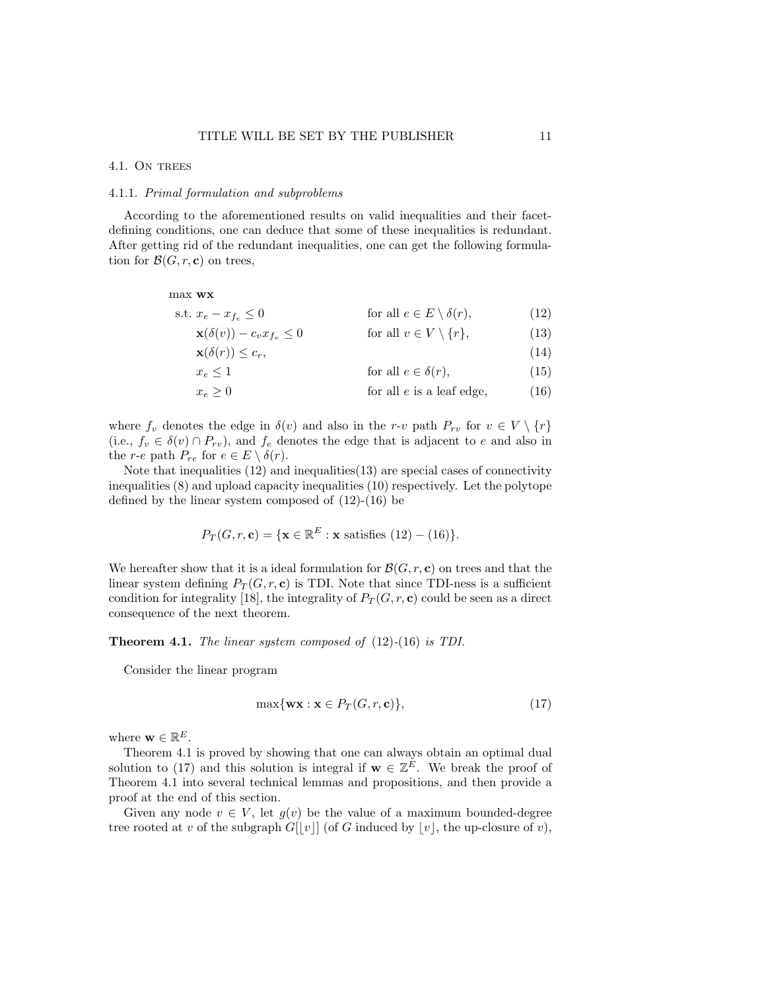#### 4.1. ON TREES

#### 4.1.1. Primal formulation and subproblems

According to the aforementioned results on valid inequalities and their facetdefining conditions, one can deduce that some of these inequalities is redundant. After getting rid of the redundant inequalities, one can get the following formulation for  $\mathcal{B}(G, r, c)$  on trees,

max wx

$$
\text{s.t. } x_e - x_{f_e} \le 0 \qquad \qquad \text{for all } e \in E \setminus \delta(r), \tag{12}
$$

$$
\mathbf{x}(\delta(v)) - c_v x_{f_v} \le 0 \qquad \text{for all } v \in V \setminus \{r\},\tag{13}
$$

$$
\mathbf{x}(\delta(r)) \le c_r,\tag{14}
$$
\n
$$
r < 1\tag{15}
$$

$$
x_e \ge 1 \tag{10}
$$
 for all  $e \in \theta(1)$ , (19)

$$
x_e \ge 0
$$
 for all *e* is a leaf edge, (16)

where  $f_v$  denotes the edge in  $\delta(v)$  and also in the r-v path  $P_{rv}$  for  $v \in V \setminus \{r\}$ (i.e.,  $f_v \in \delta(v) \cap P_{rv}$ ), and  $f_e$  denotes the edge that is adjacent to e and also in the *r*-*e* path  $P_{re}$  for  $e \in E \setminus \delta(r)$ .

Note that inequalities (12) and inequalities(13) are special cases of connectivity inequalities (8) and upload capacity inequalities (10) respectively. Let the polytope defined by the linear system composed of (12)-(16) be

$$
P_T(G, r, \mathbf{c}) = \{ \mathbf{x} \in \mathbb{R}^E : \mathbf{x} \text{ satisfies (12)} - (16) \}.
$$

We hereafter show that it is a ideal formulation for  $\mathcal{B}(G, r, c)$  on trees and that the linear system defining  $P_T(G, r, c)$  is TDI. Note that since TDI-ness is a sufficient condition for integrality [18], the integrality of  $P_T(G, r, c)$  could be seen as a direct consequence of the next theorem.

Theorem 4.1. The linear system composed of (12)-(16) is TDI.

Consider the linear program

$$
\max\{\mathbf{wx} : \mathbf{x} \in P_T(G, r, \mathbf{c})\},\tag{17}
$$

where  $\mathbf{w} \in \mathbb{R}^E$ .

Theorem 4.1 is proved by showing that one can always obtain an optimal dual solution to (17) and this solution is integral if  $\mathbf{w} \in \mathbb{Z}^E$ . We break the proof of Theorem 4.1 into several technical lemmas and propositions, and then provide a proof at the end of this section.

Given any node  $v \in V$ , let  $g(v)$  be the value of a maximum bounded-degree tree rooted at v of the subgraph  $G[|v|]$  (of G induced by  $|v|$ , the up-closure of v),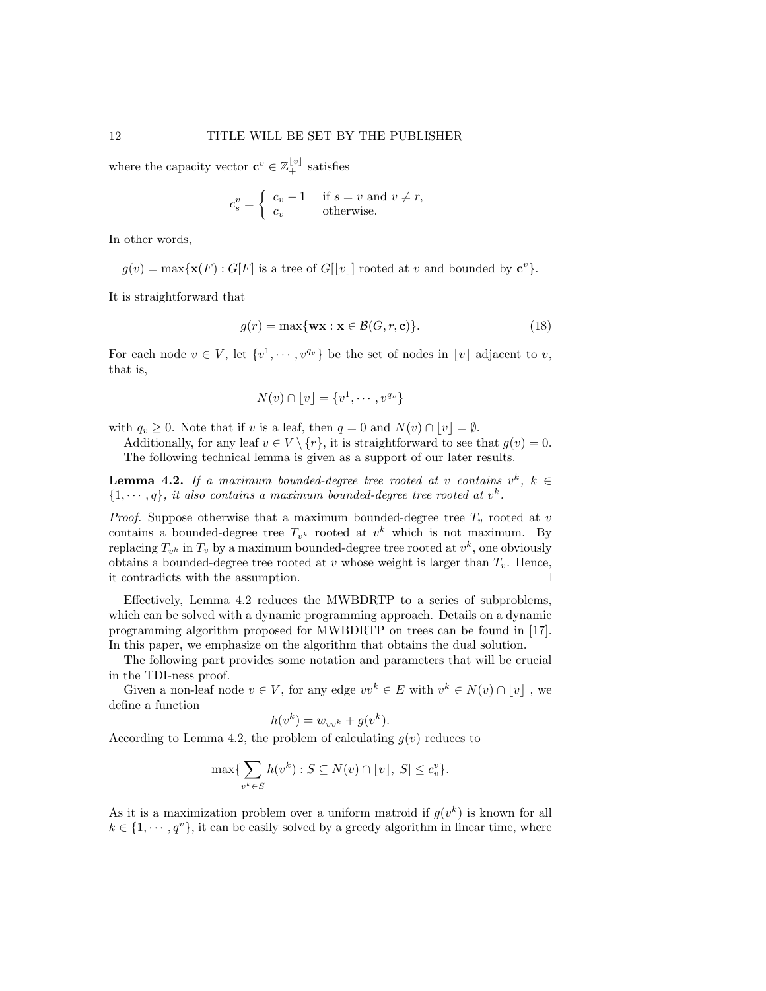where the capacity vector  $\mathbf{c}^v \in \mathbb{Z}_+^{\lfloor v \rfloor}$  satisfies

$$
c_s^v = \begin{cases} c_v - 1 & \text{if } s = v \text{ and } v \neq r, \\ c_v & \text{otherwise.} \end{cases}
$$

In other words,

 $g(v) = \max{\{\mathbf{x}(F) : G[F] \text{ is a tree of } G[[v]] \text{ rooted at } v \text{ and bounded by } \mathbf{c}^v\}}.$ 

It is straightforward that

$$
g(r) = \max\{\mathbf{w}\mathbf{x} : \mathbf{x} \in \mathcal{B}(G, r, \mathbf{c})\}.
$$
 (18)

For each node  $v \in V$ , let  $\{v^1, \dots, v^{q_v}\}$  be the set of nodes in  $\lfloor v \rfloor$  adjacent to v, that is,

$$
N(v) \cap \lfloor v \rfloor = \{v^1, \cdots, v^{q_v}\}
$$

with  $q_v \geq 0$ . Note that if v is a leaf, then  $q = 0$  and  $N(v) \cap |v| = \emptyset$ .

Additionally, for any leaf  $v \in V \setminus \{r\}$ , it is straightforward to see that  $g(v) = 0$ . The following technical lemma is given as a support of our later results.

**Lemma 4.2.** If a maximum bounded-degree tree rooted at v contains  $v^k$ ,  $k \in$  $\{1, \dots, q\}$ , it also contains a maximum bounded-degree tree rooted at  $v^k$ .

*Proof.* Suppose otherwise that a maximum bounded-degree tree  $T_v$  rooted at v contains a bounded-degree tree  $T_{v^k}$  rooted at  $v^k$  which is not maximum. By replacing  $T_{v^k}$  in  $T_v$  by a maximum bounded-degree tree rooted at  $v^k$ , one obviously obtains a bounded-degree tree rooted at  $v$  whose weight is larger than  $T_v$ . Hence, it contradicts with the assumption.

Effectively, Lemma 4.2 reduces the MWBDRTP to a series of subproblems, which can be solved with a dynamic programming approach. Details on a dynamic programming algorithm proposed for MWBDRTP on trees can be found in [17]. In this paper, we emphasize on the algorithm that obtains the dual solution.

The following part provides some notation and parameters that will be crucial in the TDI-ness proof.

Given a non-leaf node  $v \in V$ , for any edge  $vv^k \in E$  with  $v^k \in N(v) \cap [v]$ , we define a function

$$
h(v^k) = w_{vv^k} + g(v^k).
$$

According to Lemma 4.2, the problem of calculating  $g(v)$  reduces to

$$
\max\{\sum_{v^k \in S} h(v^k) : S \subseteq N(v) \cap \lfloor v \rfloor, |S| \le c_v^v\}.
$$

As it is a maximization problem over a uniform matroid if  $g(v^k)$  is known for all  $k \in \{1, \dots, q^v\}$ , it can be easily solved by a greedy algorithm in linear time, where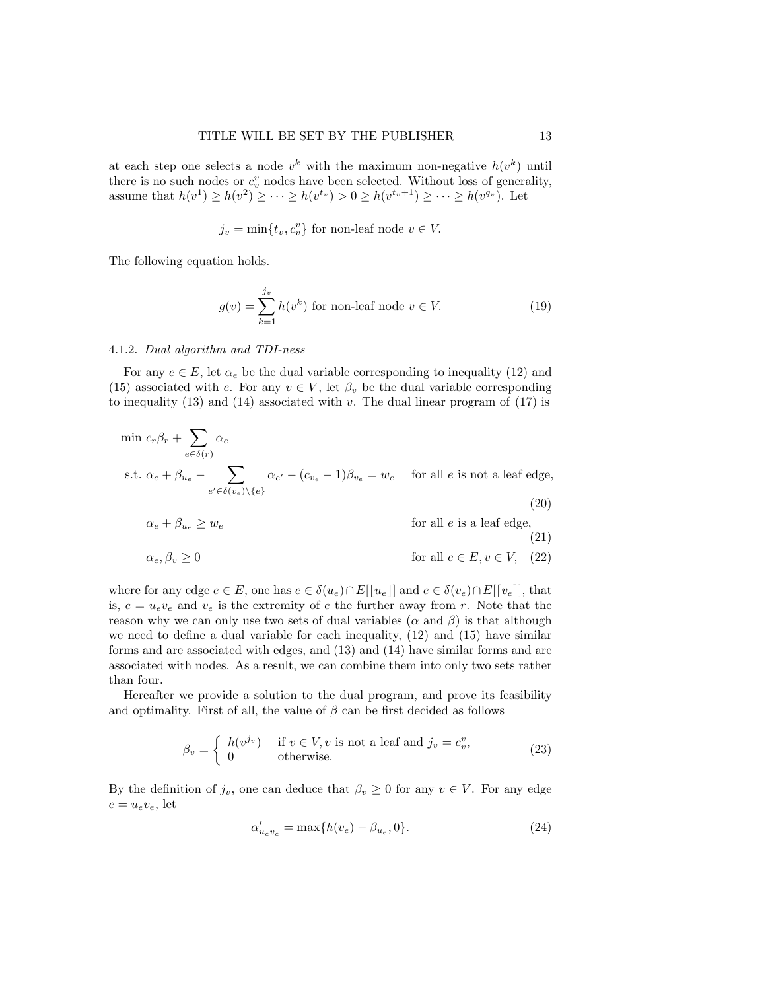at each step one selects a node  $v^k$  with the maximum non-negative  $h(v^k)$  until there is no such nodes or  $c_v^v$  nodes have been selected. Without loss of generality, assume that  $h(v^1) \ge h(v^2) \ge \cdots \ge h(v^{t_v}) > 0 \ge h(v^{t_v+1}) \ge \cdots \ge h(v^{q_v}).$  Let

 $j_v = \min\{t_v, c_v^v\}$  for non-leaf node  $v \in V$ .

The following equation holds.

$$
g(v) = \sum_{k=1}^{j_v} h(v^k)
$$
 for non-leaf node  $v \in V$ . (19)

#### 4.1.2. Dual algorithm and TDI-ness

For any  $e \in E$ , let  $\alpha_e$  be the dual variable corresponding to inequality (12) and (15) associated with e. For any  $v \in V$ , let  $\beta_v$  be the dual variable corresponding to inequality  $(13)$  and  $(14)$  associated with v. The dual linear program of  $(17)$  is

$$
\min c_r \beta_r + \sum_{e \in \delta(r)} \alpha_e
$$
\n
$$
\text{s.t. } \alpha_e + \beta_{u_e} - \sum_{e' \in \delta(v_e) \setminus \{e\}} \alpha_{e'} - (c_{v_e} - 1)\beta_{v_e} = w_e \quad \text{for all } e \text{ is not a leaf edge,}
$$
\n
$$
(20)
$$

$$
\alpha_e + \beta_{u_e} \ge w_e \qquad \text{for all } e \text{ is a leaf edge,}
$$
\n(21)

$$
\alpha_e, \beta_v \ge 0
$$
 for all  $e \in E, v \in V, (22)$ 

where for any edge 
$$
e \in E
$$
, one has  $e \in \delta(u_e) \cap E[[u_e]]$  and  $e \in \delta(v_e) \cap E[[v_e]]$ , that  
is,  $e = u_e v_e$  and  $v_e$  is the extremity of e the further away from r. Note that the  
reason why we can only use two sets of dual variables ( $\alpha$  and  $\beta$ ) is that although  
we need to define a dual variable for each inequality, (12) and (15) have similar  
forms and are associated with edges, and (13) and (14) have similar forms and are  
associated with nodes. As a result, we can combine them into only two sets rather  
than four.

Hereafter we provide a solution to the dual program, and prove its feasibility and optimality. First of all, the value of  $\beta$  can be first decided as follows

$$
\beta_v = \begin{cases} h(v^{j_v}) & \text{if } v \in V, v \text{ is not a leaf and } j_v = c_v^v, \\ 0 & \text{otherwise.} \end{cases}
$$
 (23)

By the definition of  $j_v$ , one can deduce that  $\beta_v \geq 0$  for any  $v \in V$ . For any edge  $e = u_e v_e$ , let

$$
\alpha'_{u_e v_e} = \max\{h(v_e) - \beta_{u_e}, 0\}.
$$
\n(24)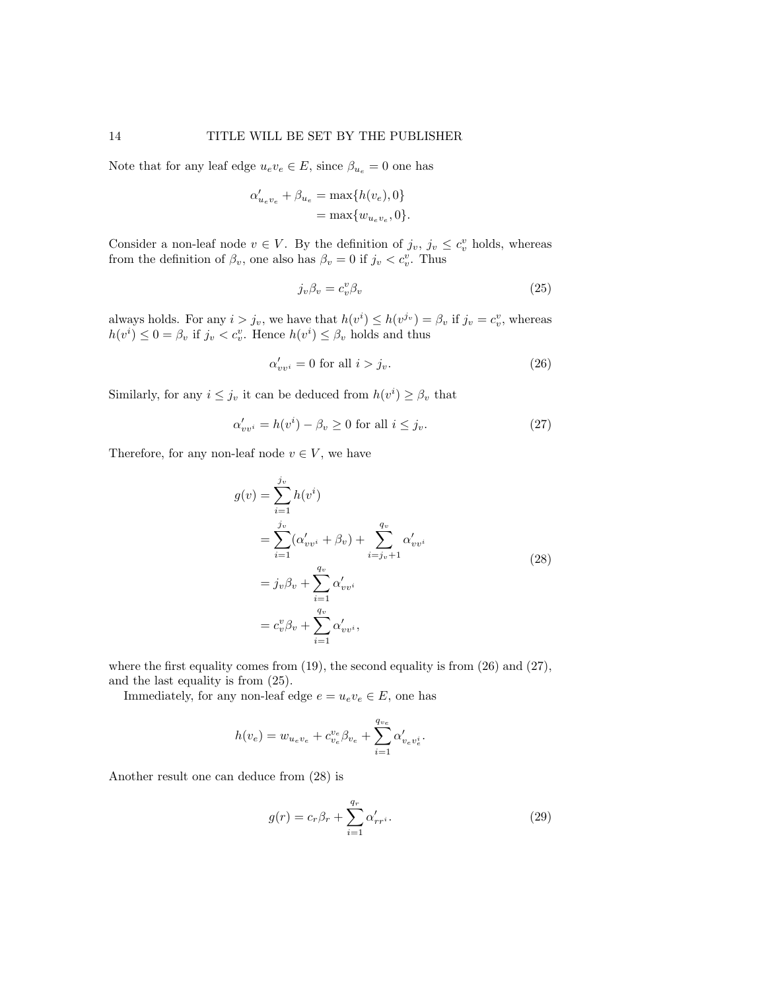Note that for any leaf edge  $u_e v_e \in E$ , since  $\beta_{u_e} = 0$  one has

$$
\begin{aligned} \alpha'_{u_e v_e} + \beta_{u_e} &= \max\{h(v_e), 0\} \\ &= \max\{w_{u_e v_e}, 0\}. \end{aligned}
$$

Consider a non-leaf node  $v \in V$ . By the definition of  $j_v, j_v \leq c_v^v$  holds, whereas from the definition of  $\beta_v$ , one also has  $\beta_v = 0$  if  $j_v < c_v^v$ . Thus

$$
j_v \beta_v = c_v^v \beta_v \tag{25}
$$

always holds. For any  $i > j_v$ , we have that  $h(v^i) \leq h(v^{j_v}) = \beta_v$  if  $j_v = c_v^v$ , whereas  $h(v^i) \leq 0 = \beta_v$  if  $j_v < c_v^v$ . Hence  $h(v^i) \leq \beta_v$  holds and thus

$$
\alpha'_{vv^i} = 0 \text{ for all } i > j_v. \tag{26}
$$

Similarly, for any  $i \leq j_v$  it can be deduced from  $h(v^i) \geq \beta_v$  that

$$
\alpha'_{vv^i} = h(v^i) - \beta_v \ge 0 \text{ for all } i \le j_v. \tag{27}
$$

Therefore, for any non-leaf node  $v \in V$ , we have

$$
g(v) = \sum_{i=1}^{j_v} h(v^i)
$$
  
= 
$$
\sum_{i=1}^{j_v} (\alpha'_{vv^i} + \beta_v) + \sum_{i=j_v+1}^{q_v} \alpha'_{vv^i}
$$
  
= 
$$
j_v \beta_v + \sum_{i=1}^{q_v} \alpha'_{vv^i}
$$
  
= 
$$
c_v^v \beta_v + \sum_{i=1}^{q_v} \alpha'_{vv^i},
$$
 (28)

where the first equality comes from  $(19)$ , the second equality is from  $(26)$  and  $(27)$ , and the last equality is from (25).

Immediately, for any non-leaf edge  $e = u_e v_e \in E$ , one has

$$
h(v_e) = w_{u_e v_e} + c_{v_e}^{v_e} \beta_{v_e} + \sum_{i=1}^{q_{v_e}} \alpha'_{v_e v_e^i}.
$$

Another result one can deduce from (28) is

$$
g(r) = c_r \beta_r + \sum_{i=1}^{q_r} \alpha'_{rr^i}.
$$
\n(29)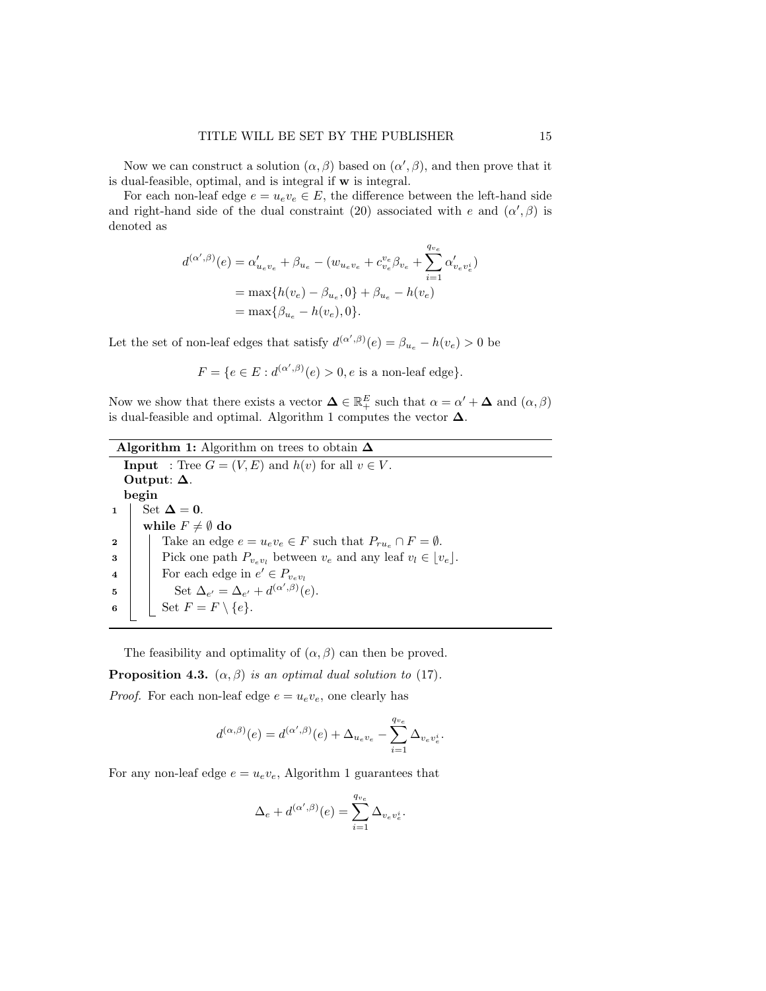Now we can construct a solution  $(\alpha, \beta)$  based on  $(\alpha', \beta)$ , and then prove that it is dual-feasible, optimal, and is integral if w is integral.

For each non-leaf edge  $e = u_e v_e \in E$ , the difference between the left-hand side and right-hand side of the dual constraint (20) associated with e and  $(\alpha', \beta)$  is denoted as

$$
d^{(\alpha',\beta)}(e) = \alpha'_{u_e v_e} + \beta_{u_e} - (w_{u_e v_e} + c_{v_e}^{v_e} \beta_{v_e} + \sum_{i=1}^{q_{v_e}} \alpha'_{v_e v_e^i})
$$
  
= 
$$
\max\{h(v_e) - \beta_{u_e}, 0\} + \beta_{u_e} - h(v_e)
$$
  
= 
$$
\max\{\beta_{u_e} - h(v_e), 0\}.
$$

Let the set of non-leaf edges that satisfy  $d^{(\alpha',\beta)}(e) = \beta_{u_e} - h(v_e) > 0$  be

$$
F = \{ e \in E : d^{(\alpha', \beta)}(e) > 0, e \text{ is a non-leaf edge} \}.
$$

Now we show that there exists a vector  $\Delta \in \mathbb{R}^E_+$  such that  $\alpha = \alpha' + \Delta$  and  $(\alpha, \beta)$ is dual-feasible and optimal. Algorithm 1 computes the vector  $\pmb{\Delta}.$ 

| <b>Algorithm 1:</b> Algorithm on trees to obtain $\Delta$                                  |
|--------------------------------------------------------------------------------------------|
| <b>Input</b> : Tree $G = (V, E)$ and $h(v)$ for all $v \in V$ .                            |
| Output: $\Delta$ .                                                                         |
| begin                                                                                      |
| Set $\Delta = 0$ .                                                                         |
| while $F \neq \emptyset$ do                                                                |
| Take an edge $e = u_e v_e \in F$ such that $P_{ru_e} \cap F = \emptyset$ .<br>$\mathbf{2}$ |
| Pick one path $P_{v_e v_l}$ between $v_e$ and any leaf $v_l \in  v_e $ .<br>3              |
| For each edge in $e' \in P_{v_e v_l}$<br>$\overline{4}$                                    |
| Set $\Delta_{e'} = \Delta_{e'} + d^{(\alpha',\beta)}(e)$ .<br>5                            |
| Set $F = F \setminus \{e\}.$<br>6                                                          |
|                                                                                            |

The feasibility and optimality of  $(\alpha, \beta)$  can then be proved.

**Proposition 4.3.**  $(\alpha, \beta)$  is an optimal dual solution to (17).

*Proof.* For each non-leaf edge  $e = u_e v_e$ , one clearly has

$$
d^{(\alpha,\beta)}(e) = d^{(\alpha',\beta)}(e) + \Delta_{u_e v_e} - \sum_{i=1}^{q_{v_e}} \Delta_{v_e v_e^i}.
$$

For any non-leaf edge  $e = u_e v_e$ , Algorithm 1 guarantees that

$$
\Delta_e + d^{(\alpha',\beta)}(e) = \sum_{i=1}^{q_{ve}} \Delta_{v_e v_e^i}.
$$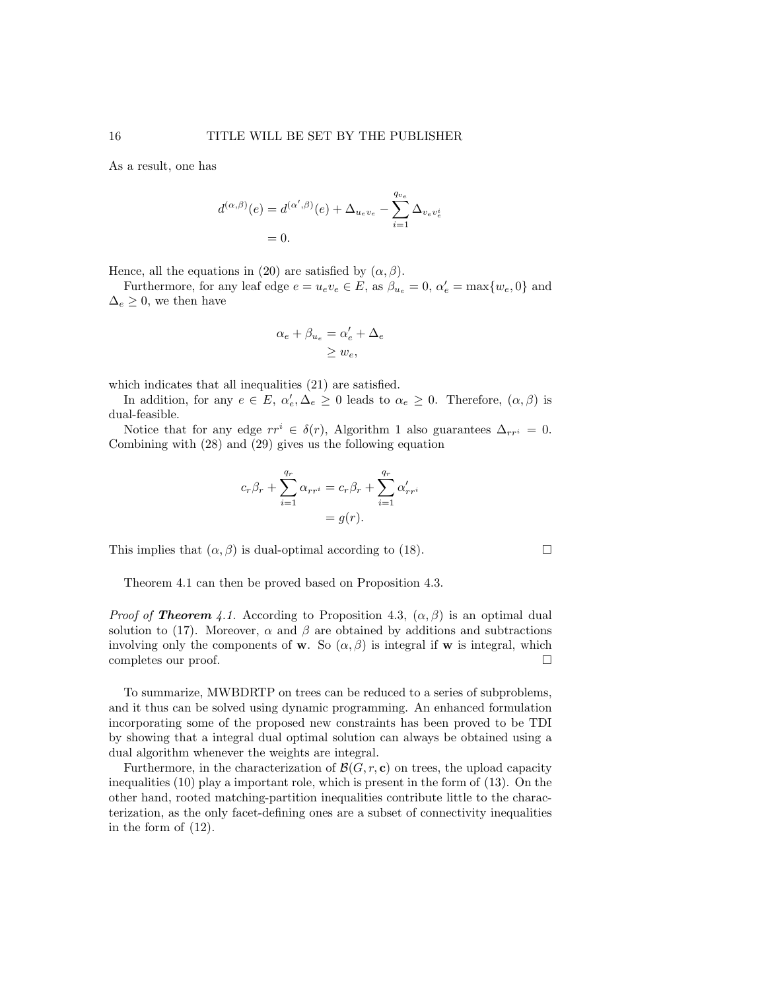As a result, one has

$$
d^{(\alpha,\beta)}(e) = d^{(\alpha',\beta)}(e) + \Delta_{u_e v_e} - \sum_{i=1}^{q_{v_e}} \Delta_{v_e v_e^i}
$$
  
= 0.

Hence, all the equations in (20) are satisfied by  $(\alpha, \beta)$ .

Furthermore, for any leaf edge  $e = u_e v_e \in E$ , as  $\beta_{u_e} = 0$ ,  $\alpha'_e = \max\{w_e, 0\}$  and  $\Delta_e \geq 0$ , we then have

$$
\alpha_e + \beta_{u_e} = \alpha'_e + \Delta_e
$$
  

$$
\geq w_e,
$$

which indicates that all inequalities (21) are satisfied.

In addition, for any  $e \in E$ ,  $\alpha'_e, \Delta_e \geq 0$  leads to  $\alpha_e \geq 0$ . Therefore,  $(\alpha, \beta)$  is dual-feasible.

Notice that for any edge  $rr^i \in \delta(r)$ , Algorithm 1 also guarantees  $\Delta_{rr^i} = 0$ . Combining with (28) and (29) gives us the following equation

$$
c_r \beta_r + \sum_{i=1}^{q_r} \alpha_{rr^i} = c_r \beta_r + \sum_{i=1}^{q_r} \alpha'_{rr^i}
$$

$$
= g(r).
$$

This implies that  $(\alpha, \beta)$  is dual-optimal according to (18).

Theorem 4.1 can then be proved based on Proposition 4.3.

*Proof of Theorem 4.1.* According to Proposition 4.3,  $(\alpha, \beta)$  is an optimal dual solution to (17). Moreover,  $\alpha$  and  $\beta$  are obtained by additions and subtractions involving only the components of **w**. So  $(\alpha, \beta)$  is integral if **w** is integral, which completes our proof.

To summarize, MWBDRTP on trees can be reduced to a series of subproblems, and it thus can be solved using dynamic programming. An enhanced formulation incorporating some of the proposed new constraints has been proved to be TDI by showing that a integral dual optimal solution can always be obtained using a dual algorithm whenever the weights are integral.

Furthermore, in the characterization of  $\mathcal{B}(G, r, c)$  on trees, the upload capacity inequalities (10) play a important role, which is present in the form of (13). On the other hand, rooted matching-partition inequalities contribute little to the characterization, as the only facet-defining ones are a subset of connectivity inequalities in the form of (12).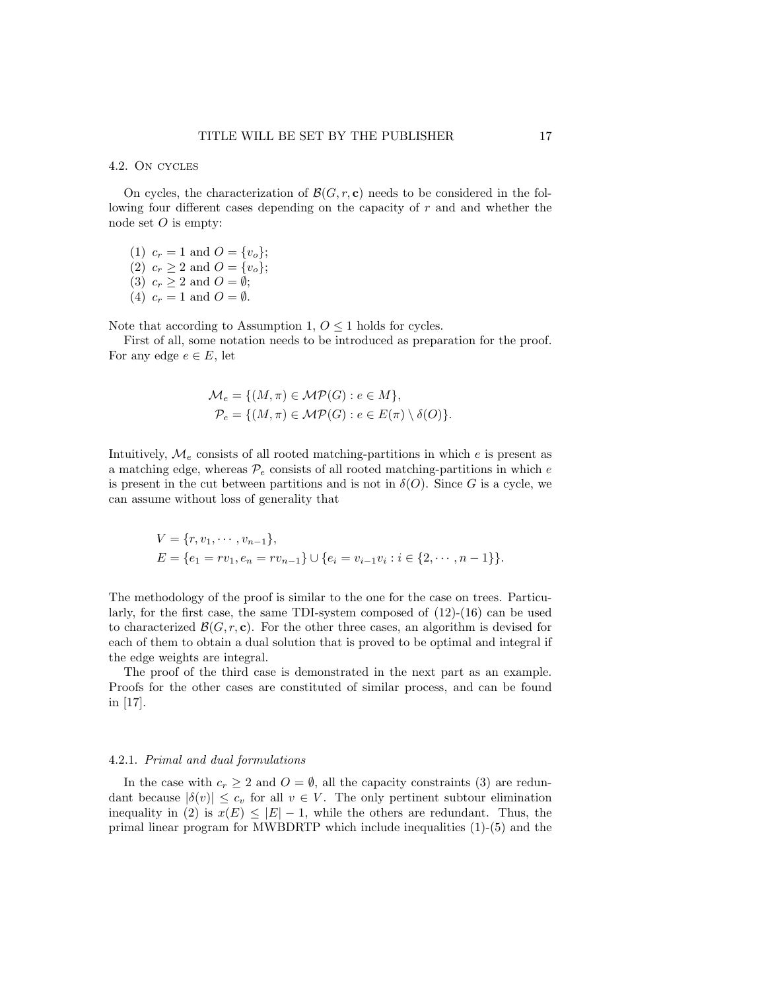#### 4.2. On cycles

On cycles, the characterization of  $\mathcal{B}(G, r, c)$  needs to be considered in the following four different cases depending on the capacity of r and and whether the node set  $O$  is empty:

(1)  $c_r = 1$  and  $O = \{v_o\};$ (2)  $c_r \geq 2$  and  $O = \{v_o\};$ (3)  $c_r \geq 2$  and  $O = \emptyset$ ; (4)  $c_r = 1$  and  $O = \emptyset$ .

Note that according to Assumption 1,  $0 \leq 1$  holds for cycles.

First of all, some notation needs to be introduced as preparation for the proof. For any edge  $e \in E$ , let

$$
\mathcal{M}_e = \{ (M, \pi) \in \mathcal{MP}(G) : e \in M \},
$$
  

$$
\mathcal{P}_e = \{ (M, \pi) \in \mathcal{MP}(G) : e \in E(\pi) \setminus \delta(O) \}.
$$

Intuitively,  $\mathcal{M}_e$  consists of all rooted matching-partitions in which  $e$  is present as a matching edge, whereas  $\mathcal{P}_e$  consists of all rooted matching-partitions in which e is present in the cut between partitions and is not in  $\delta(O)$ . Since G is a cycle, we can assume without loss of generality that

$$
V = \{r, v_1, \dots, v_{n-1}\},
$$
  
\n
$$
E = \{e_1 = rv_1, e_n = rv_{n-1}\} \cup \{e_i = v_{i-1}v_i : i \in \{2, \dots, n-1\}\}.
$$

The methodology of the proof is similar to the one for the case on trees. Particularly, for the first case, the same TDI-system composed of (12)-(16) can be used to characterized  $\mathcal{B}(G, r, c)$ . For the other three cases, an algorithm is devised for each of them to obtain a dual solution that is proved to be optimal and integral if the edge weights are integral.

The proof of the third case is demonstrated in the next part as an example. Proofs for the other cases are constituted of similar process, and can be found in [17].

#### 4.2.1. Primal and dual formulations

In the case with  $c_r \geq 2$  and  $O = \emptyset$ , all the capacity constraints (3) are redundant because  $|\delta(v)| \leq c_v$  for all  $v \in V$ . The only pertinent subtour elimination inequality in (2) is  $x(E) \leq |E| - 1$ , while the others are redundant. Thus, the primal linear program for MWBDRTP which include inequalities (1)-(5) and the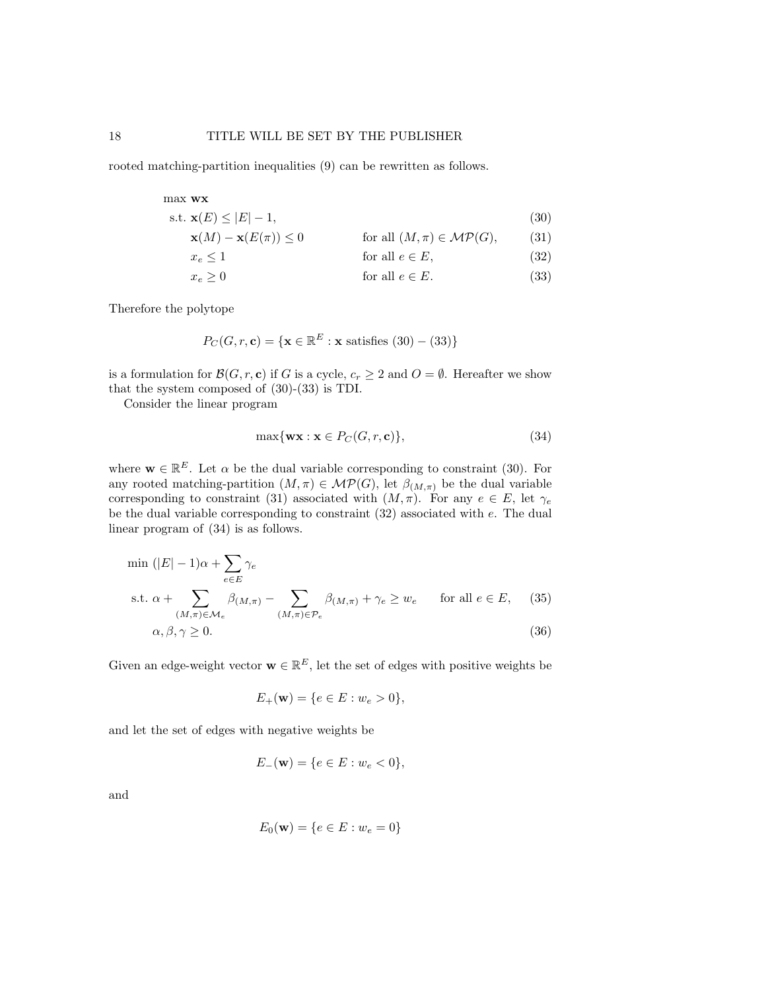rooted matching-partition inequalities (9) can be rewritten as follows.

max wx

$$
\text{s.t. } \mathbf{x}(E) \le |E| - 1,\tag{30}
$$

 $\mathbf{x}(M) - \mathbf{x}(E(\pi)) \leq 0$  for all  $(M, \pi) \in \mathcal{MP}(G)$ , (31)

$$
x_e \le 1 \qquad \text{for all } e \in E,\tag{32}
$$

$$
x_e \ge 0 \t\t \text{for all } e \in E. \t\t (33)
$$

Therefore the polytope

$$
P_C(G, r, \mathbf{c}) = \{ \mathbf{x} \in \mathbb{R}^E : \mathbf{x} \text{ satisfies } (30) - (33) \}
$$

is a formulation for  $\mathcal{B}(G, r, \mathbf{c})$  if G is a cycle,  $c_r \geq 2$  and  $O = \emptyset$ . Hereafter we show that the system composed of (30)-(33) is TDI.

Consider the linear program

$$
\max\{\mathbf{wx} : \mathbf{x} \in P_C(G, r, \mathbf{c})\},\tag{34}
$$

where  $\mathbf{w} \in \mathbb{R}^E$ . Let  $\alpha$  be the dual variable corresponding to constraint (30). For any rooted matching-partition  $(M, \pi) \in \mathcal{MP}(G)$ , let  $\beta_{(M,\pi)}$  be the dual variable corresponding to constraint (31) associated with  $(M, \pi)$ . For any  $e \in E$ , let  $\gamma_e$ be the dual variable corresponding to constraint  $(32)$  associated with  $e$ . The dual linear program of (34) is as follows.

$$
\min (|E| - 1)\alpha + \sum_{e \in E} \gamma_e
$$
\n
$$
\text{s.t. } \alpha + \sum_{(M,\pi) \in \mathcal{M}_e} \beta_{(M,\pi)} - \sum_{(M,\pi) \in \mathcal{P}_e} \beta_{(M,\pi)} + \gamma_e \ge w_e \quad \text{for all } e \in E,
$$
\n
$$
\alpha, \beta, \gamma \ge 0.
$$
\n(36)

Given an edge-weight vector  $\mathbf{w} \in \mathbb{R}^E$ , let the set of edges with positive weights be

$$
E_{+}(\mathbf{w}) = \{e \in E : w_e > 0\},\
$$

and let the set of edges with negative weights be

$$
E_{-}(\mathbf{w}) = \{e \in E : w_e < 0\},\
$$

and

$$
E_0(\mathbf{w}) = \{e \in E : w_e = 0\}
$$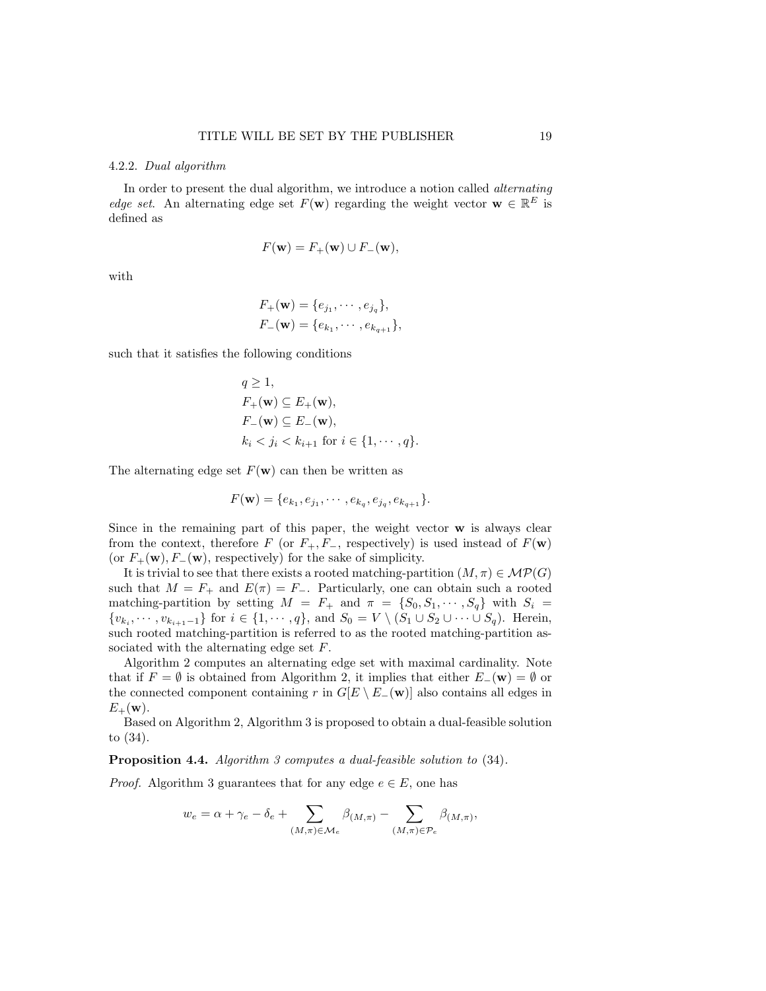#### 4.2.2. Dual algorithm

In order to present the dual algorithm, we introduce a notion called alternating edge set. An alternating edge set  $F(\mathbf{w})$  regarding the weight vector  $\mathbf{w} \in \mathbb{R}^E$  is defined as

$$
F(\mathbf{w}) = F_+(\mathbf{w}) \cup F_-(\mathbf{w}),
$$

with

$$
F_{+}(\mathbf{w}) = \{e_{j_1}, \cdots, e_{j_q}\},
$$
  

$$
F_{-}(\mathbf{w}) = \{e_{k_1}, \cdots, e_{k_{q+1}}\},
$$

such that it satisfies the following conditions

$$
q \ge 1,
$$
  
\n
$$
F_{+}(\mathbf{w}) \subseteq E_{+}(\mathbf{w}),
$$
  
\n
$$
F_{-}(\mathbf{w}) \subseteq E_{-}(\mathbf{w}),
$$
  
\n
$$
k_{i} < j_{i} < k_{i+1} \text{ for } i \in \{1, \cdots, q\}.
$$

The alternating edge set  $F(\mathbf{w})$  can then be written as

$$
F(\mathbf{w}) = \{e_{k_1}, e_{j_1}, \cdots, e_{k_q}, e_{j_q}, e_{k_{q+1}}\}.
$$

Since in the remaining part of this paper, the weight vector  $\bf{w}$  is always clear from the context, therefore F (or  $F_+, F_-,$  respectively) is used instead of  $F(\mathbf{w})$ (or  $F_+(\mathbf{w})$ ,  $F_-(\mathbf{w})$ , respectively) for the sake of simplicity.

It is trivial to see that there exists a rooted matching-partition  $(M, \pi) \in \mathcal{MP}(G)$ such that  $M = F_+$  and  $E(\pi) = F_-$ . Particularly, one can obtain such a rooted matching-partition by setting  $M = F_+$  and  $\pi = \{S_0, S_1, \cdots, S_q\}$  with  $S_i =$  $\{v_{k_i}, \dots, v_{k_{i+1}-1}\}\$  for  $i \in \{1, \dots, q\}$ , and  $S_0 = V \setminus (S_1 \cup S_2 \cup \dots \cup S_q)$ . Herein, such rooted matching-partition is referred to as the rooted matching-partition associated with the alternating edge set F.

Algorithm 2 computes an alternating edge set with maximal cardinality. Note that if  $F = \emptyset$  is obtained from Algorithm 2, it implies that either  $E_-(\mathbf{w}) = \emptyset$  or the connected component containing r in  $G[E \setminus E_{-}(\mathbf{w})]$  also contains all edges in  $E_+(\mathbf{w})$ .

Based on Algorithm 2, Algorithm 3 is proposed to obtain a dual-feasible solution to (34).

Proposition 4.4. Algorithm 3 computes a dual-feasible solution to (34).

*Proof.* Algorithm 3 guarantees that for any edge  $e \in E$ , one has

$$
w_e = \alpha + \gamma_e - \delta_e + \sum_{(M,\pi) \in \mathcal{M}_e} \beta_{(M,\pi)} - \sum_{(M,\pi) \in \mathcal{P}_e} \beta_{(M,\pi)},
$$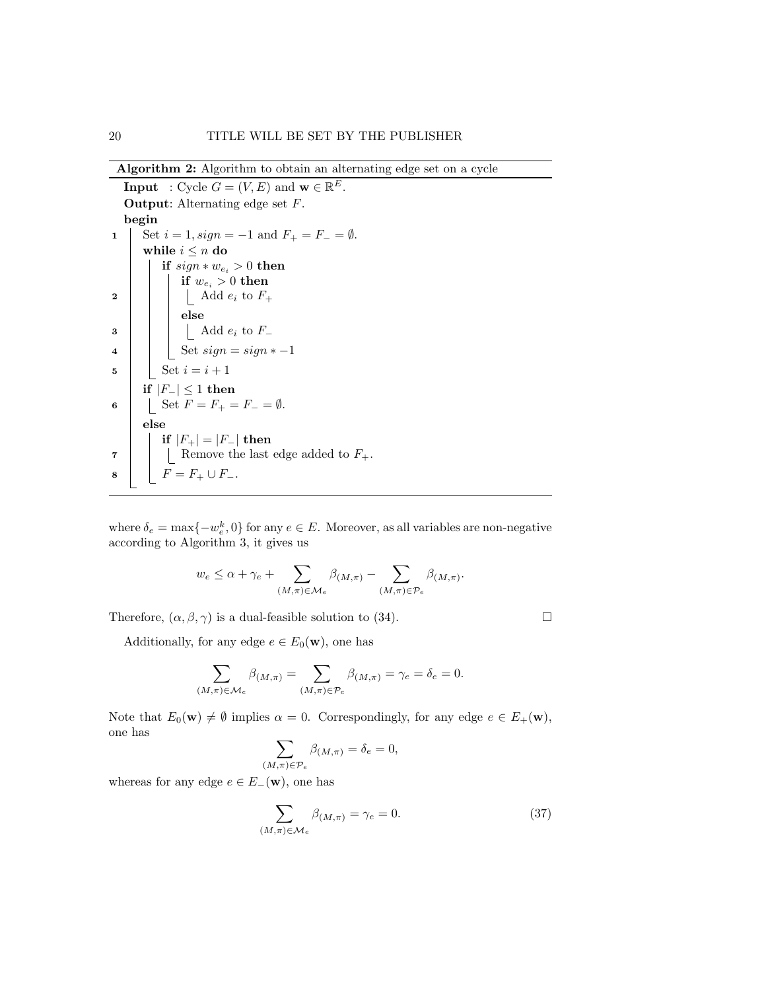Algorithm 2: Algorithm to obtain an alternating edge set on a cycle

**Input** : Cycle  $G = (V, E)$  and  $\mathbf{w} \in \mathbb{R}^E$ . Output: Alternating edge set F. begin 1 Set  $i = 1$ ,  $sign = -1$  and  $F_+ = F_- = \emptyset$ . while  $i \leq n$  do if  $sign * w_{e_i} > 0$  then if  $w_{e_i} > 0$  then  $\begin{array}{c|c|c|c} \textbf{2} & \textbf{1} & \textbf{3} & \textbf{4} \end{array}$  Add  $e_i$  to  $F_+$ else  $\begin{array}{c|c|c|c} \mathbf{3} & \mathbf{1} & \mathbf{1} & \mathbf{1} & \mathbf{1} & \mathbf{1} & \mathbf{1} & \mathbf{1} & \mathbf{1} & \mathbf{1} & \mathbf{1} & \mathbf{1} & \mathbf{1} & \mathbf{1} & \mathbf{1} & \mathbf{1} & \mathbf{1} & \mathbf{1} & \mathbf{1} & \mathbf{1} & \mathbf{1} & \mathbf{1} & \mathbf{1} & \mathbf{1} & \mathbf{1} & \mathbf{1} & \mathbf{1} & \mathbf{1} & \mathbf{1} & \mathbf{$ 4 Set  $sign = sign * -1$ 5 | Set  $i = i + 1$ if  $|F_-\|$  ≤ 1 then 6 | Set  $F = F_+ = F_- = \emptyset$ . else if  $|F_+| = |F_-|$  then  $\mathbf{7}$  | | | Remove the last edge added to  $F_+$ . 8  $F = F_+ \cup F_-.$ 

where  $\delta_e = \max\{-w_e^k, 0\}$  for any  $e \in E$ . Moreover, as all variables are non-negative according to Algorithm 3, it gives us

$$
w_e \leq \alpha + \gamma_e + \sum_{(M,\pi) \in \mathcal{M}_e} \beta_{(M,\pi)} - \sum_{(M,\pi) \in \mathcal{P}_e} \beta_{(M,\pi)}.
$$

Therefore,  $(\alpha, \beta, \gamma)$  is a dual-feasible solution to (34).

Additionally, for any edge  $e \in E_0(\mathbf{w})$ , one has

$$
\sum_{(M,\pi)\in \mathcal{M}_e}\beta_{(M,\pi)}=\sum_{(M,\pi)\in \mathcal{P}_e}\beta_{(M,\pi)}=\gamma_e=\delta_e=0.
$$

Note that  $E_0(\mathbf{w}) \neq \emptyset$  implies  $\alpha = 0$ . Correspondingly, for any edge  $e \in E_+(\mathbf{w})$ , one has

$$
\sum_{(M,\pi)\in\mathcal{P}_e}\beta_{(M,\pi)}=\delta_e=0,
$$

whereas for any edge  $e \in E_-(\mathbf{w})$ , one has

$$
\sum_{(M,\pi)\in\mathcal{M}_e} \beta_{(M,\pi)} = \gamma_e = 0.
$$
\n(37)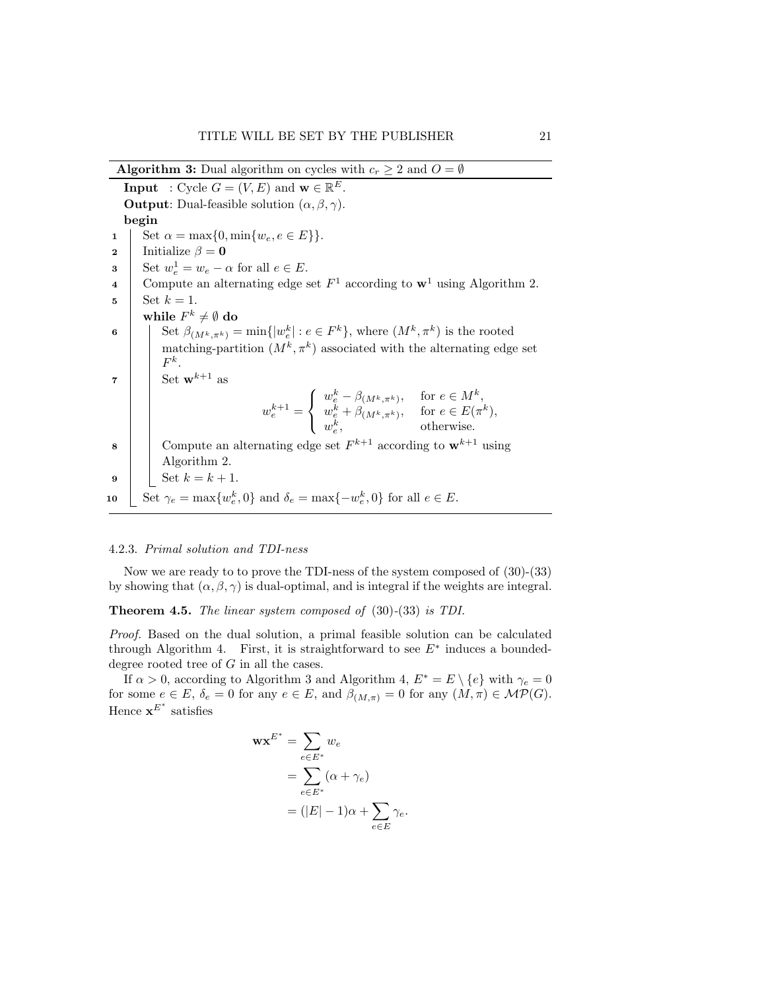Algorithm 3: Dual algorithm on cycles with  $c_r \geq 2$  and  $O = \emptyset$ **Input** : Cycle  $G = (V, E)$  and  $\mathbf{w} \in \mathbb{R}^E$ . **Output:** Dual-feasible solution  $(\alpha, \beta, \gamma)$ . begin 1 Set  $\alpha = \max\{0, \min\{w_e, e \in E\}\}.$ 

```
2 Initialize \beta = 03 Set w_e^1 = w_e - \alpha for all e \in E.
 4 Compute an alternating edge set F^1 according to \mathbf{w}^1 using Algorithm 2.
5 | Set k = 1.
         while F^k\neq\emptyset do
 6 \left| \quad \right| Set \beta_{(M^k, \pi^k)} = \min\{|w_e^k| : e \in F^k\},\ where (M^k, \pi^k) is the rooted
              matching-partition (M^k, \pi^k) associated with the alternating edge set
              F^k.
\mathbf{z} Set \mathbf{w}^{k+1} as
                                       w_e^{k+1} =\sqrt{ }J
                                                   \mathcal{L}w_e^k - \beta_{(M^k, \pi^k)}, \quad \text{for } e \in M^k,w_e^k + \beta_{(M^k, \pi^k)}, \quad \text{for } e \in E(\pi^k),w_e^k, otherwise.
 8 Compute an alternating edge set F^{k+1} according to \mathbf{w}^{k+1} using
             Algorithm 2.
9 | Set k = k + 1.
10 \left[ \begin{array}{c} \text{Set} \ \gamma_e = \max\{w_e^k, 0\} \text{ and } \delta_e = \max\{-w_e^k, 0\} \text{ for all } e \in E. \end{array} \right]
```
#### 4.2.3. Primal solution and TDI-ness

Now we are ready to to prove the TDI-ness of the system composed of (30)-(33) by showing that  $(\alpha, \beta, \gamma)$  is dual-optimal, and is integral if the weights are integral.

Theorem 4.5. The linear system composed of (30)-(33) is TDI.

Proof. Based on the dual solution, a primal feasible solution can be calculated through Algorithm 4. First, it is straightforward to see  $E^*$  induces a boundeddegree rooted tree of G in all the cases.

If  $\alpha > 0$ , according to Algorithm 3 and Algorithm 4,  $E^* = E \setminus \{e\}$  with  $\gamma_e = 0$ for some  $e \in E$ ,  $\delta_e = 0$  for any  $e \in E$ , and  $\beta_{(M,\pi)} = 0$  for any  $(M,\pi) \in \mathcal{MP}(G)$ . Hence  $\mathbf{x}^{E^*}$  satisfies

$$
\mathbf{w} \mathbf{x}^{E^*} = \sum_{e \in E^*} w_e
$$
  
= 
$$
\sum_{e \in E^*} (\alpha + \gamma_e)
$$
  
= 
$$
(|E| - 1)\alpha + \sum_{e \in E} \gamma_e.
$$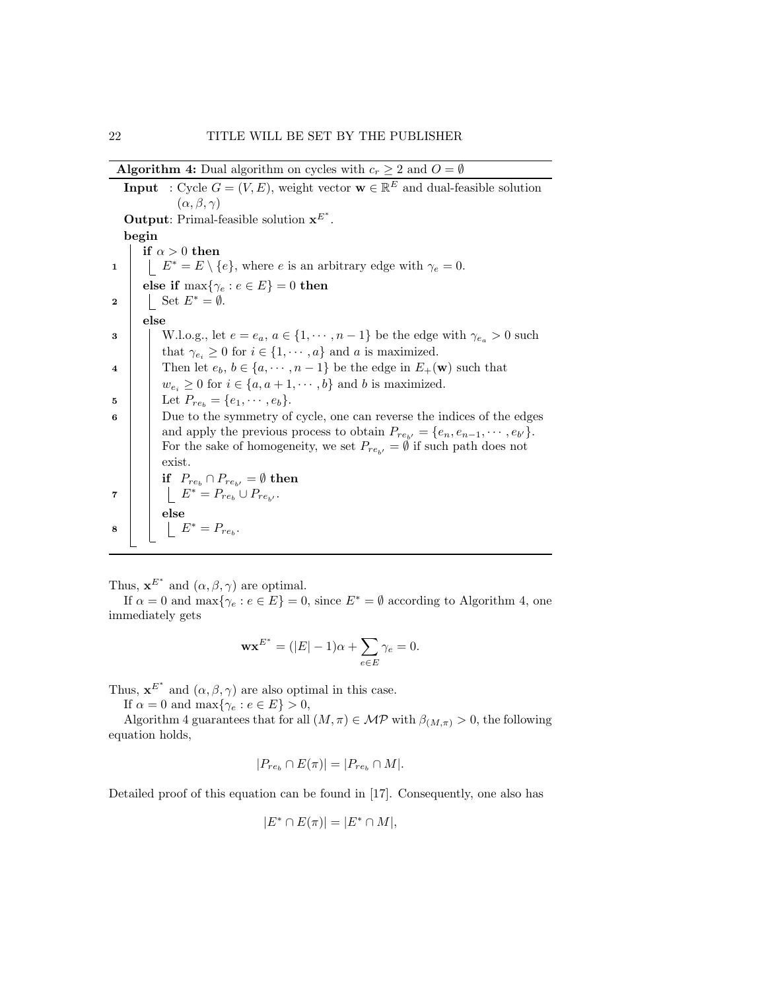Algorithm 4: Dual algorithm on cycles with  $c_r \geq 2$  and  $O = \emptyset$ 

**Input** : Cycle  $G = (V, E)$ , weight vector  $\mathbf{w} \in \mathbb{R}^E$  and dual-feasible solution  $(\alpha, \beta, \gamma)$ **Output:** Primal-feasible solution  $x^{E^*}$ . begin if  $\alpha > 0$  then 1  $\mid \quad \mid E^* = E \setminus \{e\}$ , where *e* is an arbitrary edge with  $\gamma_e = 0$ . else if  $\max\{\gamma_e : e \in E\} = 0$  then 2 | Set  $E^* = \emptyset$ . else 3 W.l.o.g., let  $e = e_a, a \in \{1, \dots, n-1\}$  be the edge with  $\gamma_{e_a} > 0$  such that  $\gamma_{e_i} \geq 0$  for  $i \in \{1, \dots, a\}$  and a is maximized. 4 Then let  $e_b, b \in \{a, \dots, n-1\}$  be the edge in  $E_+(\mathbf{w})$  such that  $w_{e_i} \geq 0$  for  $i \in \{a, a+1, \dots, b\}$  and b is maximized. 5 | Let  $P_{re_b} = \{e_1, \dots, e_b\}.$ 6 Due to the symmetry of cycle, one can reverse the indices of the edges and apply the previous process to obtain  $P_{re_{b'}} = \{e_n, e_{n-1}, \dots, e_{b'}\}.$ For the sake of homogeneity, we set  $P_{re_{b'}} = \emptyset$  if such path does not exist. if  $P_{re_b} \cap P_{re_{b'}} = \emptyset$  then 7  $\left| \begin{array}{c} \end{array} \right|$   $E^* = P_{re_b} \cup P_{re_{b'}}$ . else 8  $E^* = P_{re_b}.$ 

Thus,  $\mathbf{x}^{E^*}$  and  $(\alpha, \beta, \gamma)$  are optimal.

If  $\alpha = 0$  and  $\max{\gamma_e : e \in E} = 0$ , since  $E^* = \emptyset$  according to Algorithm 4, one immediately gets

$$
\mathbf{w} \mathbf{x}^{E^*} = (|E| - 1)\alpha + \sum_{e \in E} \gamma_e = 0.
$$

Thus,  $\mathbf{x}^{E^*}$  and  $(\alpha, \beta, \gamma)$  are also optimal in this case.

If  $\alpha = 0$  and  $\max\{\gamma_e : e \in E\} > 0$ ,

Algorithm 4 guarantees that for all  $(M, \pi) \in \mathcal{MP}$  with  $\beta_{(M,\pi)} > 0$ , the following equation holds,

$$
|P_{re_b} \cap E(\pi)| = |P_{re_b} \cap M|.
$$

Detailed proof of this equation can be found in [17]. Consequently, one also has

$$
|E^* \cap E(\pi)| = |E^* \cap M|,
$$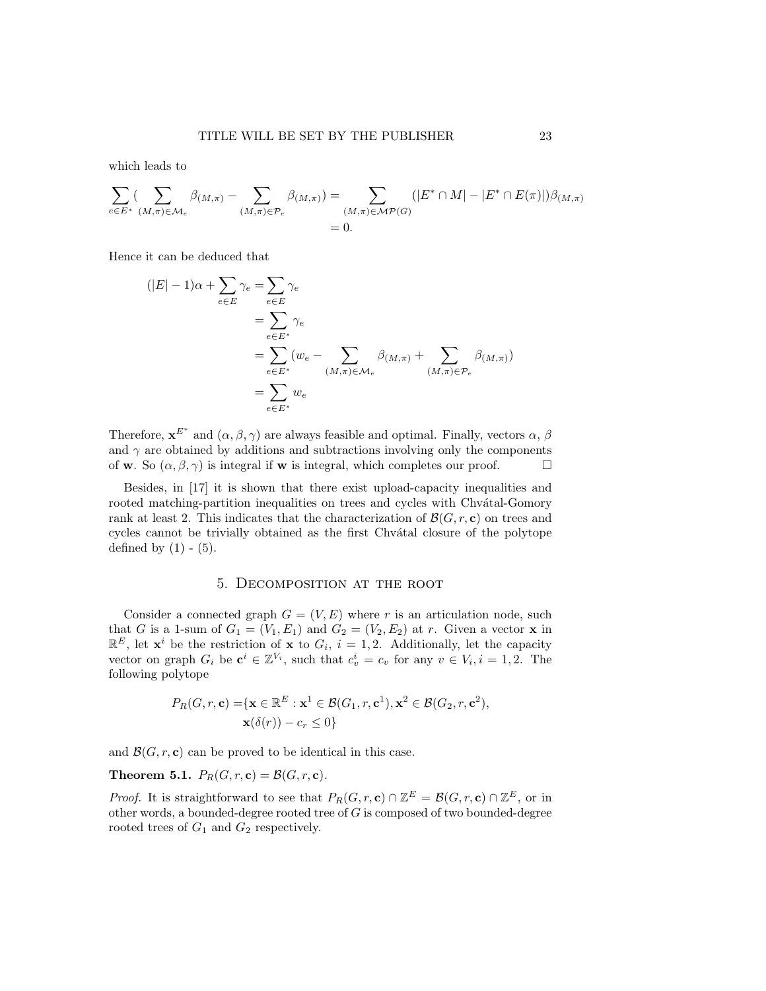which leads to

$$
\sum_{e \in E^*} \left( \sum_{(M,\pi) \in \mathcal{M}_e} \beta_{(M,\pi)} - \sum_{(M,\pi) \in \mathcal{P}_e} \beta_{(M,\pi)} \right) = \sum_{(M,\pi) \in \mathcal{MP}(G)} (|E^* \cap M| - |E^* \cap E(\pi)|) \beta_{(M,\pi)} = 0.
$$

Hence it can be deduced that

$$
\begin{aligned} (|E|-1)\alpha + \sum_{e \in E} \gamma_e &= \sum_{e \in E} \gamma_e \\ &= \sum_{e \in E^*} \gamma_e \\ &= \sum_{e \in E^*} (w_e - \sum_{(M,\pi) \in \mathcal{M}_e} \beta_{(M,\pi)} + \sum_{(M,\pi) \in \mathcal{P}_e} \beta_{(M,\pi)}) \\ &= \sum_{e \in E^*} w_e \end{aligned}
$$

Therefore,  $\mathbf{x}^{E^*}$  and  $(\alpha, \beta, \gamma)$  are always feasible and optimal. Finally, vectors  $\alpha$ ,  $\beta$ and  $\gamma$  are obtained by additions and subtractions involving only the components of w. So  $(\alpha, \beta, \gamma)$  is integral if w is integral, which completes our proof.

Besides, in [17] it is shown that there exist upload-capacity inequalities and rooted matching-partition inequalities on trees and cycles with Chvátal-Gomory rank at least 2. This indicates that the characterization of  $\mathcal{B}(G, r, c)$  on trees and cycles cannot be trivially obtained as the first Chvátal closure of the polytope defined by  $(1)$  -  $(5)$ .

### 5. Decomposition at the root

Consider a connected graph  $G = (V, E)$  where r is an articulation node, such that G is a 1-sum of  $G_1 = (V_1, E_1)$  and  $G_2 = (V_2, E_2)$  at r. Given a vector **x** in  $\mathbb{R}^E$ , let  $\mathbf{x}^i$  be the restriction of  $\mathbf{x}$  to  $G_i$ ,  $i = 1, 2$ . Additionally, let the capacity vector on graph  $G_i$  be  $\mathbf{c}^i \in \mathbb{Z}^{V_i}$ , such that  $c_v^i = c_v$  for any  $v \in V_i, i = 1, 2$ . The following polytope

$$
P_R(G, r, \mathbf{c}) = \{ \mathbf{x} \in \mathbb{R}^E : \mathbf{x}^1 \in \mathcal{B}(G_1, r, \mathbf{c}^1), \mathbf{x}^2 \in \mathcal{B}(G_2, r, \mathbf{c}^2), \mathbf{x}(\delta(r)) - c_r \le 0 \}
$$

and  $\mathcal{B}(G, r, c)$  can be proved to be identical in this case.

## Theorem 5.1.  $P_R(G, r, c) = \mathcal{B}(G, r, c)$ .

*Proof.* It is straightforward to see that  $P_R(G, r, \mathbf{c}) \cap \mathbb{Z}^E = \mathcal{B}(G, r, \mathbf{c}) \cap \mathbb{Z}^E$ , or in other words, a bounded-degree rooted tree of G is composed of two bounded-degree rooted trees of  $G_1$  and  $G_2$  respectively.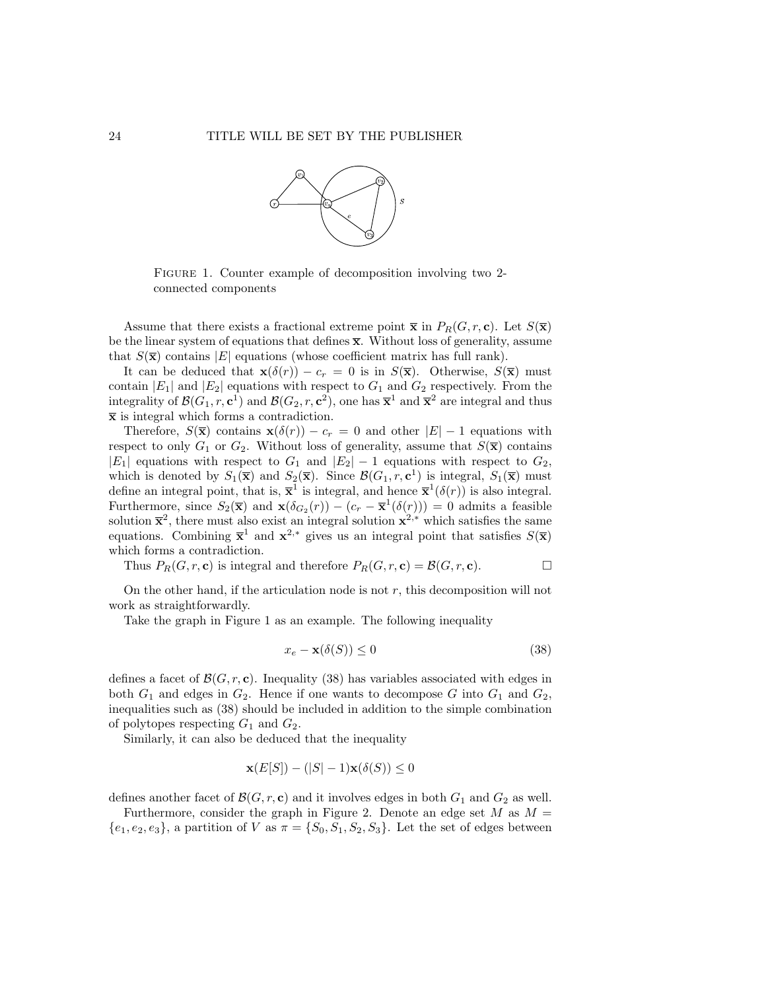

FIGURE 1. Counter example of decomposition involving two 2connected components

Assume that there exists a fractional extreme point  $\bar{\mathbf{x}}$  in  $P_R(G, r, \mathbf{c})$ . Let  $S(\bar{\mathbf{x}})$ be the linear system of equations that defines  $\bar{x}$ . Without loss of generality, assume that  $S(\bar{x})$  contains |E| equations (whose coefficient matrix has full rank).

It can be deduced that  $\mathbf{x}(\delta(r)) - c_r = 0$  is in  $S(\mathbf{\bar{x}})$ . Otherwise,  $S(\mathbf{\bar{x}})$  must contain  $|E_1|$  and  $|E_2|$  equations with respect to  $G_1$  and  $G_2$  respectively. From the integrality of  $\mathcal{B}(G_1, r, c^1)$  and  $\mathcal{B}(G_2, r, c^2)$ , one has  $\overline{\mathbf{x}}^1$  and  $\overline{\mathbf{x}}^2$  are integral and thus  $\bar{x}$  is integral which forms a contradiction.

Therefore,  $S(\bar{\mathbf{x}})$  contains  $\mathbf{x}(\delta(r)) - c_r = 0$  and other  $|E| - 1$  equations with respect to only  $G_1$  or  $G_2$ . Without loss of generality, assume that  $S(\bar{\mathbf{x}})$  contains  $|E_1|$  equations with respect to  $G_1$  and  $|E_2| - 1$  equations with respect to  $G_2$ , which is denoted by  $S_1(\overline{x})$  and  $S_2(\overline{x})$ . Since  $\mathcal{B}(G_1, r, c^1)$  is integral,  $S_1(\overline{x})$  must define an integral point, that is,  $\bar{\mathbf{x}}^1$  is integral, and hence  $\bar{\mathbf{x}}^1(\delta(r))$  is also integral. Furthermore, since  $S_2(\bar{x})$  and  $\mathbf{x}(\delta_{G_2}(r)) - (c_r - \bar{x}^1(\delta(r))) = 0$  admits a feasible solution  $\bar{x}^2$ , there must also exist an integral solution  $x^{2,*}$  which satisfies the same equations. Combining  $\bar{\mathbf{x}}^1$  and  $\mathbf{x}^{2,*}$  gives us an integral point that satisfies  $S(\bar{\mathbf{x}})$ which forms a contradiction.

Thus  $P_R(G, r, \mathbf{c})$  is integral and therefore  $P_R(G, r, \mathbf{c}) = \mathcal{B}(G, r, \mathbf{c})$ .

On the other hand, if the articulation node is not  $r$ , this decomposition will not work as straightforwardly.

Take the graph in Figure 1 as an example. The following inequality

$$
x_e - \mathbf{x}(\delta(S)) \le 0 \tag{38}
$$

defines a facet of  $\mathcal{B}(G, r, c)$ . Inequality (38) has variables associated with edges in both  $G_1$  and edges in  $G_2$ . Hence if one wants to decompose G into  $G_1$  and  $G_2$ , inequalities such as (38) should be included in addition to the simple combination of polytopes respecting  $G_1$  and  $G_2$ .

Similarly, it can also be deduced that the inequality

$$
\mathbf{x}(E[S]) - (|S| - 1)\mathbf{x}(\delta(S)) \le 0
$$

defines another facet of  $\mathcal{B}(G, r, c)$  and it involves edges in both  $G_1$  and  $G_2$  as well.

Furthermore, consider the graph in Figure 2. Denote an edge set  $M$  as  $M =$  ${e_1, e_2, e_3}$ , a partition of V as  $\pi = \{S_0, S_1, S_2, S_3\}$ . Let the set of edges between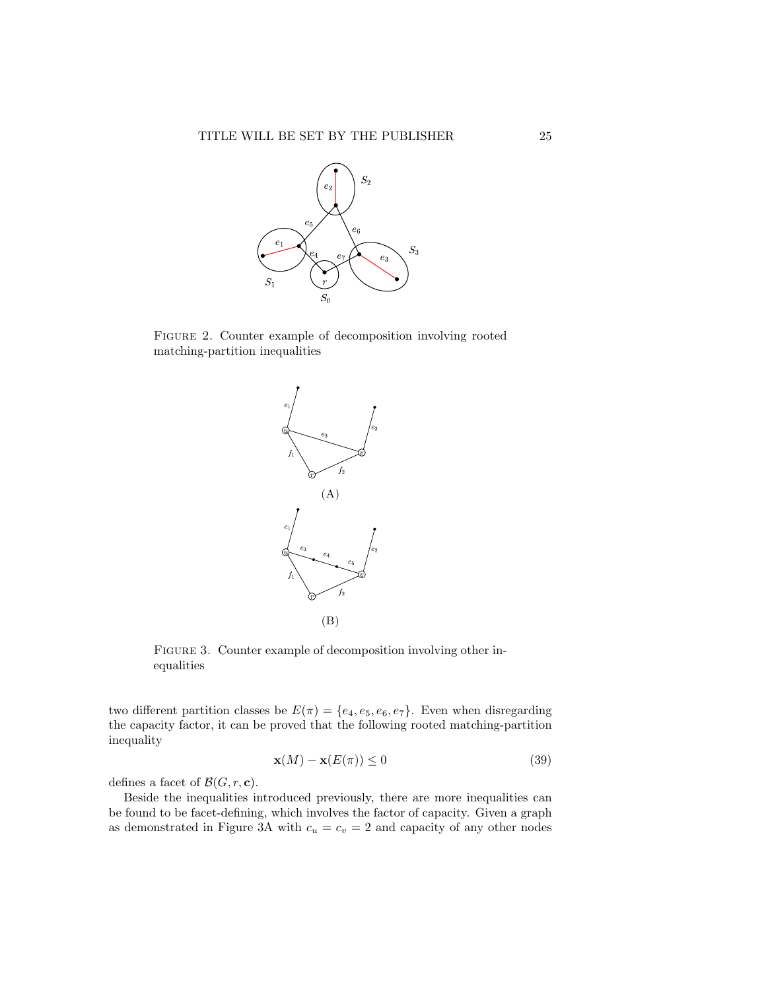

Figure 2. Counter example of decomposition involving rooted matching-partition inequalities



FIGURE 3. Counter example of decomposition involving other inequalities

two different partition classes be  $E(\pi) = \{e_4, e_5, e_6, e_7\}$ . Even when disregarding the capacity factor, it can be proved that the following rooted matching-partition inequality

$$
\mathbf{x}(M) - \mathbf{x}(E(\pi)) \le 0 \tag{39}
$$

defines a facet of  $\mathcal{B}(G, r, c)$ .

Beside the inequalities introduced previously, there are more inequalities can be found to be facet-defining, which involves the factor of capacity. Given a graph as demonstrated in Figure 3A with  $c_u = c_v = 2$  and capacity of any other nodes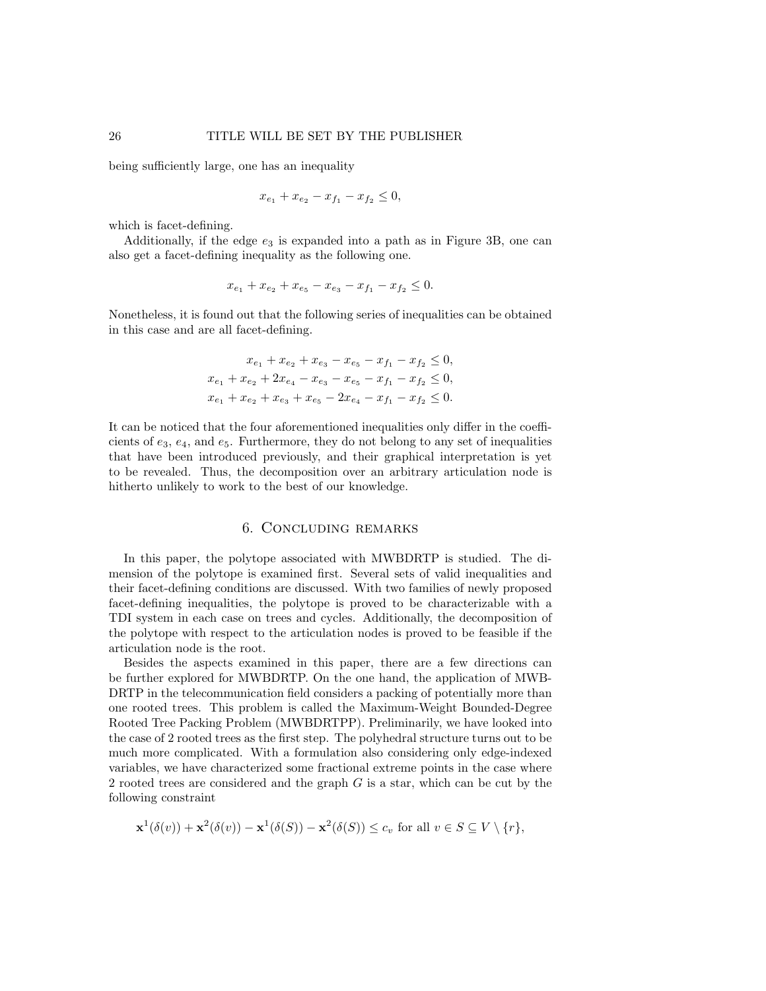being sufficiently large, one has an inequality

$$
x_{e_1} + x_{e_2} - x_{f_1} - x_{f_2} \le 0,
$$

which is facet-defining.

Additionally, if the edge  $e_3$  is expanded into a path as in Figure 3B, one can also get a facet-defining inequality as the following one.

$$
x_{e_1} + x_{e_2} + x_{e_5} - x_{e_3} - x_{f_1} - x_{f_2} \leq 0.
$$

Nonetheless, it is found out that the following series of inequalities can be obtained in this case and are all facet-defining.

$$
x_{e_1} + x_{e_2} + x_{e_3} - x_{e_5} - x_{f_1} - x_{f_2} \le 0,
$$
  
\n
$$
x_{e_1} + x_{e_2} + 2x_{e_4} - x_{e_3} - x_{e_5} - x_{f_1} - x_{f_2} \le 0,
$$
  
\n
$$
x_{e_1} + x_{e_2} + x_{e_3} + x_{e_5} - 2x_{e_4} - x_{f_1} - x_{f_2} \le 0.
$$

It can be noticed that the four aforementioned inequalities only differ in the coefficients of  $e_3, e_4$ , and  $e_5$ . Furthermore, they do not belong to any set of inequalities that have been introduced previously, and their graphical interpretation is yet to be revealed. Thus, the decomposition over an arbitrary articulation node is hitherto unlikely to work to the best of our knowledge.

## 6. Concluding remarks

In this paper, the polytope associated with MWBDRTP is studied. The dimension of the polytope is examined first. Several sets of valid inequalities and their facet-defining conditions are discussed. With two families of newly proposed facet-defining inequalities, the polytope is proved to be characterizable with a TDI system in each case on trees and cycles. Additionally, the decomposition of the polytope with respect to the articulation nodes is proved to be feasible if the articulation node is the root.

Besides the aspects examined in this paper, there are a few directions can be further explored for MWBDRTP. On the one hand, the application of MWB-DRTP in the telecommunication field considers a packing of potentially more than one rooted trees. This problem is called the Maximum-Weight Bounded-Degree Rooted Tree Packing Problem (MWBDRTPP). Preliminarily, we have looked into the case of 2 rooted trees as the first step. The polyhedral structure turns out to be much more complicated. With a formulation also considering only edge-indexed variables, we have characterized some fractional extreme points in the case where 2 rooted trees are considered and the graph  $G$  is a star, which can be cut by the following constraint

$$
\mathbf{x}^1(\delta(v)) + \mathbf{x}^2(\delta(v)) - \mathbf{x}^1(\delta(S)) - \mathbf{x}^2(\delta(S)) \le c_v \text{ for all } v \in S \subseteq V \setminus \{r\},\
$$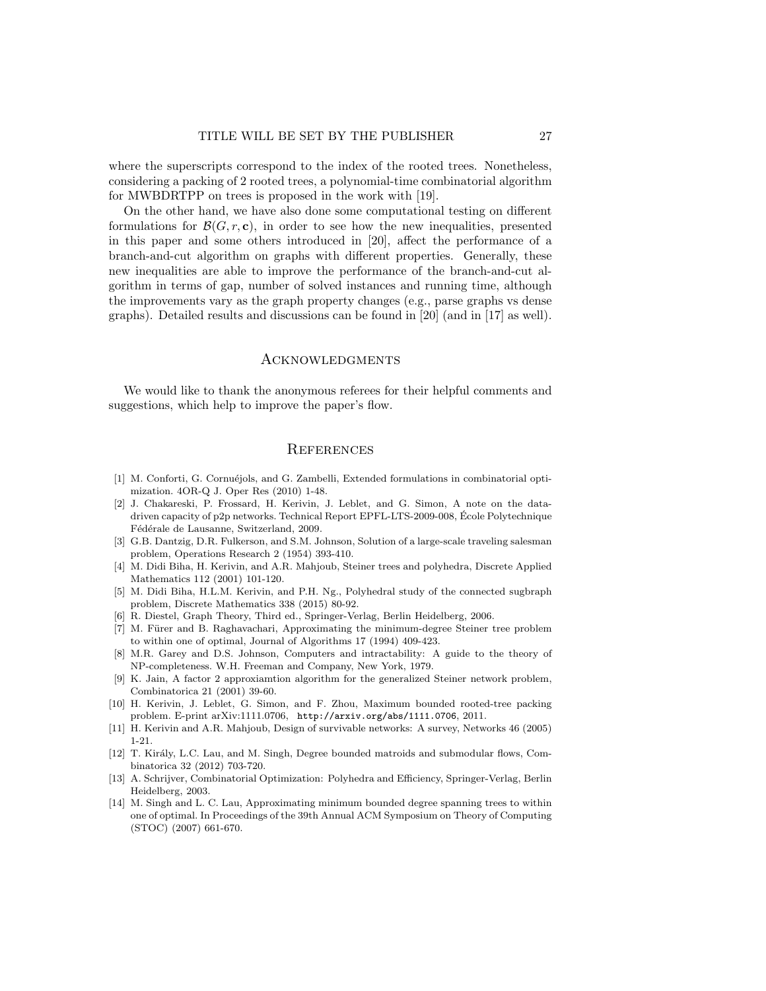where the superscripts correspond to the index of the rooted trees. Nonetheless, considering a packing of 2 rooted trees, a polynomial-time combinatorial algorithm for MWBDRTPP on trees is proposed in the work with [19].

On the other hand, we have also done some computational testing on different formulations for  $\mathcal{B}(G, r, \mathbf{c})$ , in order to see how the new inequalities, presented in this paper and some others introduced in [20], affect the performance of a branch-and-cut algorithm on graphs with different properties. Generally, these new inequalities are able to improve the performance of the branch-and-cut algorithm in terms of gap, number of solved instances and running time, although the improvements vary as the graph property changes (e.g., parse graphs vs dense graphs). Detailed results and discussions can be found in [20] (and in [17] as well).

#### Acknowledgments

We would like to thank the anonymous referees for their helpful comments and suggestions, which help to improve the paper's flow.

## **REFERENCES**

- [1] M. Conforti, G. Cornuéjols, and G. Zambelli, Extended formulations in combinatorial optimization. 4OR-Q J. Oper Res (2010) 1-48.
- [2] J. Chakareski, P. Frossard, H. Kerivin, J. Leblet, and G. Simon, A note on the datadriven capacity of p2p networks. Technical Report EPFL-LTS-2009-008, Ecole Polytechnique ´ Fédérale de Lausanne, Switzerland, 2009.
- [3] G.B. Dantzig, D.R. Fulkerson, and S.M. Johnson, Solution of a large-scale traveling salesman problem, Operations Research 2 (1954) 393-410.
- [4] M. Didi Biha, H. Kerivin, and A.R. Mahjoub, Steiner trees and polyhedra, Discrete Applied Mathematics 112 (2001) 101-120.
- [5] M. Didi Biha, H.L.M. Kerivin, and P.H. Ng., Polyhedral study of the connected sugbraph problem, Discrete Mathematics 338 (2015) 80-92.
- [6] R. Diestel, Graph Theory, Third ed., Springer-Verlag, Berlin Heidelberg, 2006.
- [7] M. Fürer and B. Raghavachari, Approximating the minimum-degree Steiner tree problem to within one of optimal, Journal of Algorithms 17 (1994) 409-423.
- [8] M.R. Garey and D.S. Johnson, Computers and intractability: A guide to the theory of NP-completeness. W.H. Freeman and Company, New York, 1979.
- [9] K. Jain, A factor 2 approxiamtion algorithm for the generalized Steiner network problem, Combinatorica 21 (2001) 39-60.
- [10] H. Kerivin, J. Leblet, G. Simon, and F. Zhou, Maximum bounded rooted-tree packing problem. E-print arXiv:1111.0706, http://arxiv.org/abs/1111.0706, 2011.
- [11] H. Kerivin and A.R. Mahjoub, Design of survivable networks: A survey, Networks 46 (2005) 1-21.
- [12] T. Király, L.C. Lau, and M. Singh, Degree bounded matroids and submodular flows, Combinatorica 32 (2012) 703-720.
- [13] A. Schrijver, Combinatorial Optimization: Polyhedra and Efficiency, Springer-Verlag, Berlin Heidelberg, 2003.
- [14] M. Singh and L. C. Lau, Approximating minimum bounded degree spanning trees to within one of optimal. In Proceedings of the 39th Annual ACM Symposium on Theory of Computing (STOC) (2007) 661-670.